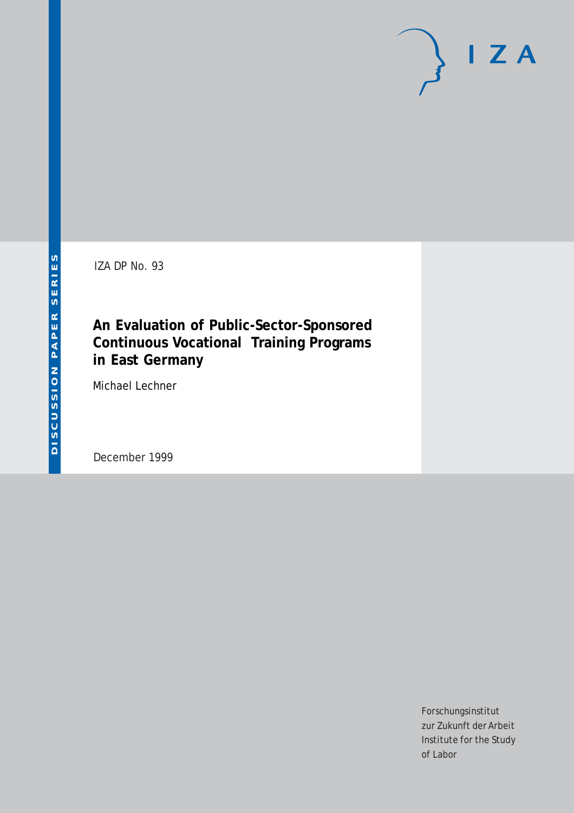# $I Z A$

IZA DP No. 93

## **An Evaluation of Public-Sector-Sponsored Continuous Vocational Training Programs in East Germany**

Michael Lechner

December 1999

Forschungsinstitut zur Zukunft der Arbeit Institute for the Study of Labor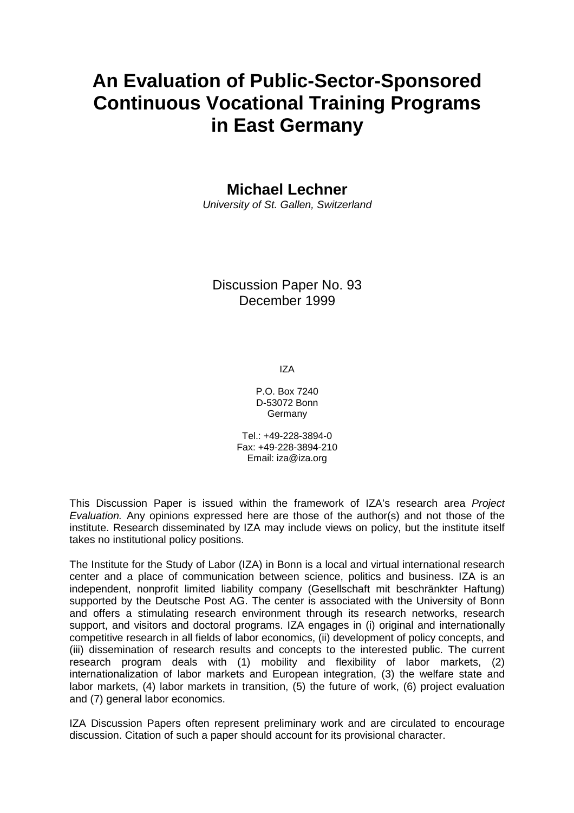# **An Evaluation of Public-Sector-Sponsored Continuous Vocational Training Programs in East Germany**

**Michael Lechner** 

University of St. Gallen, Switzerland

## Discussion Paper No. 93 December 1999

IZA

P.O. Box 7240 D-53072 Bonn Germany

Tel.: +49-228-3894-0 Fax: +49-228-3894-210 Email: iza@iza.org

This Discussion Paper is issued within the framework of IZA's research area Project Evaluation. Any opinions expressed here are those of the author(s) and not those of the institute. Research disseminated by IZA may include views on policy, but the institute itself takes no institutional policy positions.

The Institute for the Study of Labor (IZA) in Bonn is a local and virtual international research center and a place of communication between science, politics and business. IZA is an independent, nonprofit limited liability company (Gesellschaft mit beschränkter Haftung) supported by the Deutsche Post AG. The center is associated with the University of Bonn and offers a stimulating research environment through its research networks, research support, and visitors and doctoral programs. IZA engages in (i) original and internationally competitive research in all fields of labor economics, (ii) development of policy concepts, and (iii) dissemination of research results and concepts to the interested public. The current research program deals with (1) mobility and flexibility of labor markets, (2) internationalization of labor markets and European integration, (3) the welfare state and labor markets, (4) labor markets in transition, (5) the future of work, (6) project evaluation and (7) general labor economics.

IZA Discussion Papers often represent preliminary work and are circulated to encourage discussion. Citation of such a paper should account for its provisional character.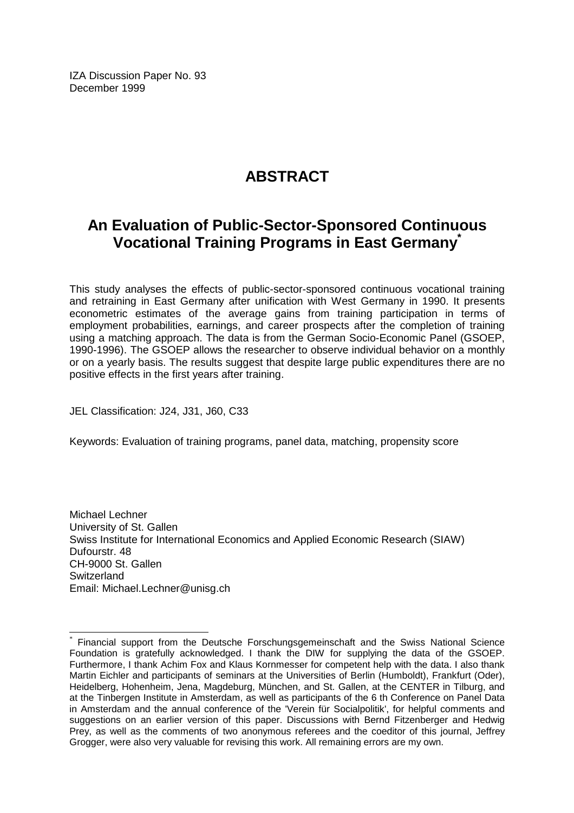IZA Discussion Paper No. 93 December 1999

## **ABSTRACT**

## **An Evaluation of Public-Sector-Sponsored Continuous Vocational Training Programs in East Germany\***

This study analyses the effects of public-sector-sponsored continuous vocational training and retraining in East Germany after unification with West Germany in 1990. It presents econometric estimates of the average gains from training participation in terms of employment probabilities, earnings, and career prospects after the completion of training using a matching approach. The data is from the German Socio-Economic Panel (GSOEP, 1990-1996). The GSOEP allows the researcher to observe individual behavior on a monthly or on a yearly basis. The results suggest that despite large public expenditures there are no positive effects in the first years after training.

JEL Classification: J24, J31, J60, C33

 $\overline{a}$ 

Keywords: Evaluation of training programs, panel data, matching, propensity score

Michael Lechner University of St. Gallen Swiss Institute for International Economics and Applied Economic Research (SIAW) Dufourstr. 48 CH-9000 St. Gallen **Switzerland** Email: Michael.Lechner@unisg.ch

Financial support from the Deutsche Forschungsgemeinschaft and the Swiss National Science Foundation is gratefully acknowledged. I thank the DIW for supplying the data of the GSOEP. Furthermore, I thank Achim Fox and Klaus Kornmesser for competent help with the data. I also thank Martin Eichler and participants of seminars at the Universities of Berlin (Humboldt), Frankfurt (Oder), Heidelberg, Hohenheim, Jena, Magdeburg, München, and St. Gallen, at the CENTER in Tilburg, and at the Tinbergen Institute in Amsterdam, as well as participants of the 6 th Conference on Panel Data in Amsterdam and the annual conference of the 'Verein für Socialpolitik', for helpful comments and suggestions on an earlier version of this paper. Discussions with Bernd Fitzenberger and Hedwig Prey, as well as the comments of two anonymous referees and the coeditor of this journal, Jeffrey Grogger, were also very valuable for revising this work. All remaining errors are my own.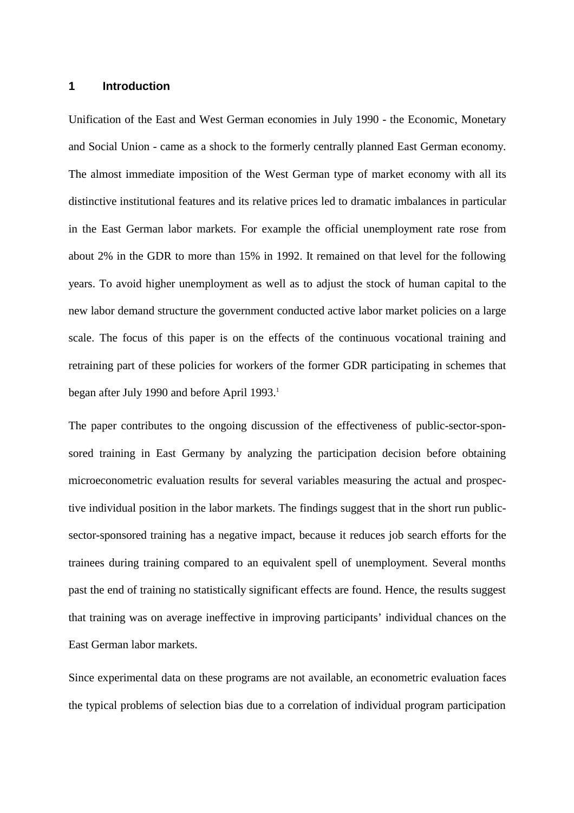#### **1 Introduction**

Unification of the East and West German economies in July 1990 - the Economic, Monetary and Social Union - came as a shock to the formerly centrally planned East German economy. The almost immediate imposition of the West German type of market economy with all its distinctive institutional features and its relative prices led to dramatic imbalances in particular in the East German labor markets. For example the official unemployment rate rose from about 2% in the GDR to more than 15% in 1992. It remained on that level for the following years. To avoid higher unemployment as well as to adjust the stock of human capital to the new labor demand structure the government conducted active labor market policies on a large scale. The focus of this paper is on the effects of the continuous vocational training and retraining part of these policies for workers of the former GDR participating in schemes that began after July 1990 and before April 1993.<sup>1</sup>

The paper contributes to the ongoing discussion of the effectiveness of public-sector-sponsored training in East Germany by analyzing the participation decision before obtaining microeconometric evaluation results for several variables measuring the actual and prospective individual position in the labor markets. The findings suggest that in the short run publicsector-sponsored training has a negative impact, because it reduces job search efforts for the trainees during training compared to an equivalent spell of unemployment. Several months past the end of training no statistically significant effects are found. Hence, the results suggest that training was on average ineffective in improving participants' individual chances on the East German labor markets.

Since experimental data on these programs are not available, an econometric evaluation faces the typical problems of selection bias due to a correlation of individual program participation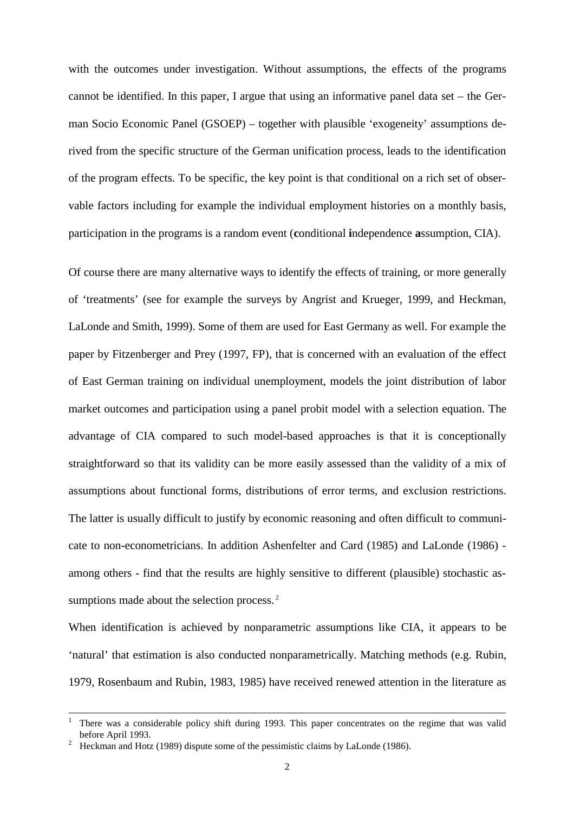with the outcomes under investigation. Without assumptions, the effects of the programs cannot be identified. In this paper, I argue that using an informative panel data set – the German Socio Economic Panel (GSOEP) – together with plausible 'exogeneity' assumptions derived from the specific structure of the German unification process, leads to the identification of the program effects. To be specific, the key point is that conditional on a rich set of observable factors including for example the individual employment histories on a monthly basis, participation in the programs is a random event (**c**onditional **i**ndependence **a**ssumption, CIA).

Of course there are many alternative ways to identify the effects of training, or more generally of 'treatments' (see for example the surveys by Angrist and Krueger, 1999, and Heckman, LaLonde and Smith, 1999). Some of them are used for East Germany as well. For example the paper by Fitzenberger and Prey (1997, FP), that is concerned with an evaluation of the effect of East German training on individual unemployment, models the joint distribution of labor market outcomes and participation using a panel probit model with a selection equation. The advantage of CIA compared to such model-based approaches is that it is conceptionally straightforward so that its validity can be more easily assessed than the validity of a mix of assumptions about functional forms, distributions of error terms, and exclusion restrictions. The latter is usually difficult to justify by economic reasoning and often difficult to communicate to non-econometricians. In addition Ashenfelter and Card (1985) and LaLonde (1986) among others - find that the results are highly sensitive to different (plausible) stochastic assumptions made about the selection process.<sup>2</sup>

When identification is achieved by nonparametric assumptions like CIA, it appears to be 'natural' that estimation is also conducted nonparametrically. Matching methods (e.g. Rubin, 1979, Rosenbaum and Rubin, 1983, 1985) have received renewed attention in the literature as

<sup>|&</sup>lt;br>|<br>| There was a considerable policy shift during 1993. This paper concentrates on the regime that was valid before April 1993.<br>Heckman and Hotz (1989) dispute some of the pessimistic claims by LaLonde (1986).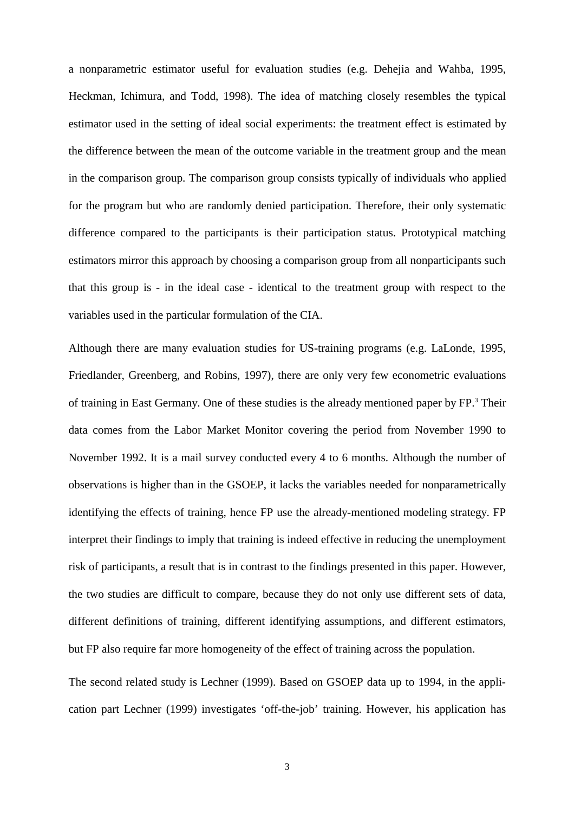a nonparametric estimator useful for evaluation studies (e.g. Dehejia and Wahba, 1995, Heckman, Ichimura, and Todd, 1998). The idea of matching closely resembles the typical estimator used in the setting of ideal social experiments: the treatment effect is estimated by the difference between the mean of the outcome variable in the treatment group and the mean in the comparison group. The comparison group consists typically of individuals who applied for the program but who are randomly denied participation. Therefore, their only systematic difference compared to the participants is their participation status. Prototypical matching estimators mirror this approach by choosing a comparison group from all nonparticipants such that this group is - in the ideal case - identical to the treatment group with respect to the variables used in the particular formulation of the CIA.

Although there are many evaluation studies for US-training programs (e.g. LaLonde, 1995, Friedlander, Greenberg, and Robins, 1997), there are only very few econometric evaluations of training in East Germany. One of these studies is the already mentioned paper by FP.<sup>3</sup> Their data comes from the Labor Market Monitor covering the period from November 1990 to November 1992. It is a mail survey conducted every 4 to 6 months. Although the number of observations is higher than in the GSOEP, it lacks the variables needed for nonparametrically identifying the effects of training, hence FP use the already-mentioned modeling strategy. FP interpret their findings to imply that training is indeed effective in reducing the unemployment risk of participants, a result that is in contrast to the findings presented in this paper. However, the two studies are difficult to compare, because they do not only use different sets of data, different definitions of training, different identifying assumptions, and different estimators, but FP also require far more homogeneity of the effect of training across the population.

The second related study is Lechner (1999). Based on GSOEP data up to 1994, in the application part Lechner (1999) investigates 'off-the-job' training. However, his application has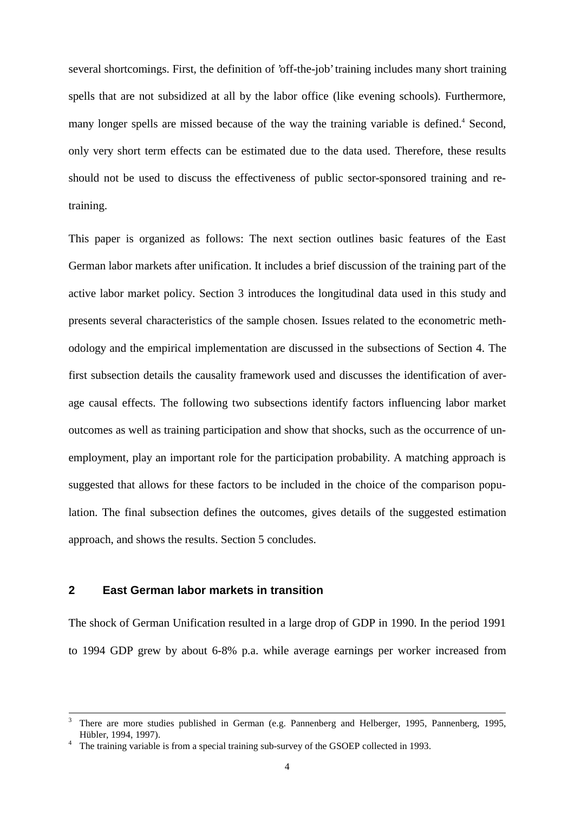several shortcomings. First, the definition of 'off-the-job' training includes many short training spells that are not subsidized at all by the labor office (like evening schools). Furthermore, many longer spells are missed because of the way the training variable is defined.<sup>4</sup> Second, only very short term effects can be estimated due to the data used. Therefore, these results should not be used to discuss the effectiveness of public sector-sponsored training and retraining.

This paper is organized as follows: The next section outlines basic features of the East German labor markets after unification. It includes a brief discussion of the training part of the active labor market policy. Section 3 introduces the longitudinal data used in this study and presents several characteristics of the sample chosen. Issues related to the econometric methodology and the empirical implementation are discussed in the subsections of Section 4. The first subsection details the causality framework used and discusses the identification of average causal effects. The following two subsections identify factors influencing labor market outcomes as well as training participation and show that shocks, such as the occurrence of unemployment, play an important role for the participation probability. A matching approach is suggested that allows for these factors to be included in the choice of the comparison population. The final subsection defines the outcomes, gives details of the suggested estimation approach, and shows the results. Section 5 concludes.

#### **2 East German labor markets in transition**

The shock of German Unification resulted in a large drop of GDP in 1990. In the period 1991 to 1994 GDP grew by about 6-8% p.a. while average earnings per worker increased from

 <sup>3</sup> There are more studies published in German (e.g. Pannenberg and Helberger, 1995, Pannenberg, 1995, Hübler, 1994, 1997). <sup>4</sup>

The training variable is from a special training sub-survey of the GSOEP collected in 1993.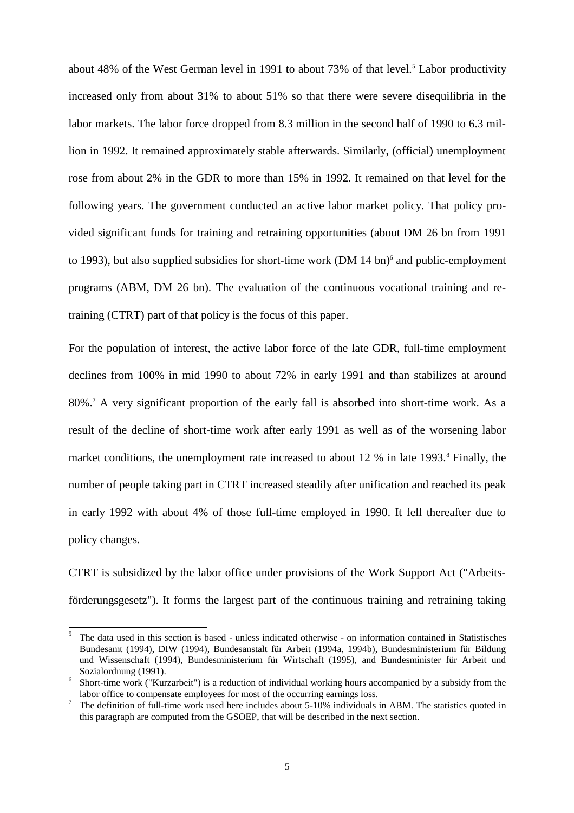about 48% of the West German level in 1991 to about 73% of that level.<sup>5</sup> Labor productivity increased only from about 31% to about 51% so that there were severe disequilibria in the labor markets. The labor force dropped from 8.3 million in the second half of 1990 to 6.3 million in 1992. It remained approximately stable afterwards. Similarly, (official) unemployment rose from about 2% in the GDR to more than 15% in 1992. It remained on that level for the following years. The government conducted an active labor market policy. That policy provided significant funds for training and retraining opportunities (about DM 26 bn from 1991 to 1993), but also supplied subsidies for short-time work (DM 14 bn)<sup>6</sup> and public-employment programs (ABM, DM 26 bn). The evaluation of the continuous vocational training and retraining (CTRT) part of that policy is the focus of this paper.

For the population of interest, the active labor force of the late GDR, full-time employment declines from 100% in mid 1990 to about 72% in early 1991 and than stabilizes at around 80%.7 A very significant proportion of the early fall is absorbed into short-time work. As a result of the decline of short-time work after early 1991 as well as of the worsening labor market conditions, the unemployment rate increased to about 12 % in late 1993.<sup>8</sup> Finally, the number of people taking part in CTRT increased steadily after unification and reached its peak in early 1992 with about 4% of those full-time employed in 1990. It fell thereafter due to policy changes.

CTRT is subsidized by the labor office under provisions of the Work Support Act ("Arbeitsförderungsgesetz"). It forms the largest part of the continuous training and retraining taking

 $\overline{5}$ <sup>5</sup> The data used in this section is based - unless indicated otherwise - on information contained in Statistisches Bundesamt (1994), DIW (1994), Bundesanstalt für Arbeit (1994a, 1994b), Bundesministerium für Bildung und Wissenschaft (1994), Bundesministerium für Wirtschaft (1995), and Bundesminister für Arbeit und Sozialordnung (1991).

Short-time work ("Kurzarbeit") is a reduction of individual working hours accompanied by a subsidy from the labor office to compensate employees for most of the occurring earnings loss.<br><sup>7</sup> The definition of full-time work used here includes about 5-10% individuals in ABM. The statistics quoted in

this paragraph are computed from the GSOEP, that will be described in the next section.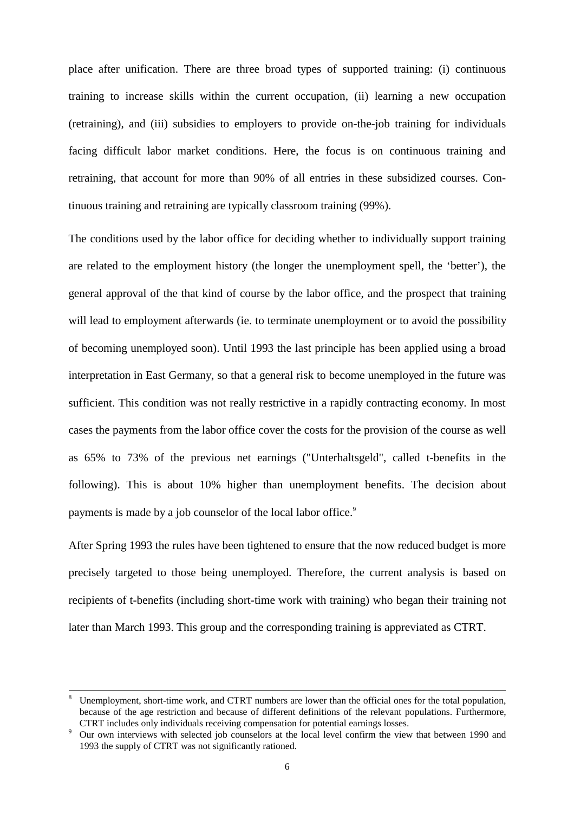place after unification. There are three broad types of supported training: (i) continuous training to increase skills within the current occupation, (ii) learning a new occupation (retraining), and (iii) subsidies to employers to provide on-the-job training for individuals facing difficult labor market conditions. Here, the focus is on continuous training and retraining, that account for more than 90% of all entries in these subsidized courses. Continuous training and retraining are typically classroom training (99%).

The conditions used by the labor office for deciding whether to individually support training are related to the employment history (the longer the unemployment spell, the 'better'), the general approval of the that kind of course by the labor office, and the prospect that training will lead to employment afterwards (ie. to terminate unemployment or to avoid the possibility of becoming unemployed soon). Until 1993 the last principle has been applied using a broad interpretation in East Germany, so that a general risk to become unemployed in the future was sufficient. This condition was not really restrictive in a rapidly contracting economy. In most cases the payments from the labor office cover the costs for the provision of the course as well as 65% to 73% of the previous net earnings ("Unterhaltsgeld", called t-benefits in the following). This is about 10% higher than unemployment benefits. The decision about payments is made by a job counselor of the local labor office.<sup>9</sup>

After Spring 1993 the rules have been tightened to ensure that the now reduced budget is more precisely targeted to those being unemployed. Therefore, the current analysis is based on recipients of t-benefits (including short-time work with training) who began their training not later than March 1993. This group and the corresponding training is appreviated as CTRT.

<sup>&</sup>lt;sup>8</sup> Unemployment, short-time work, and CTRT numbers are lower than the official ones for the total population, because of the age restriction and because of different definitions of the relevant populations. Furthermore, CTRT includes only individuals receiving compensation for potential earnings losses.

Our own interviews with selected job counselors at the local level confirm the view that between 1990 and 1993 the supply of CTRT was not significantly rationed.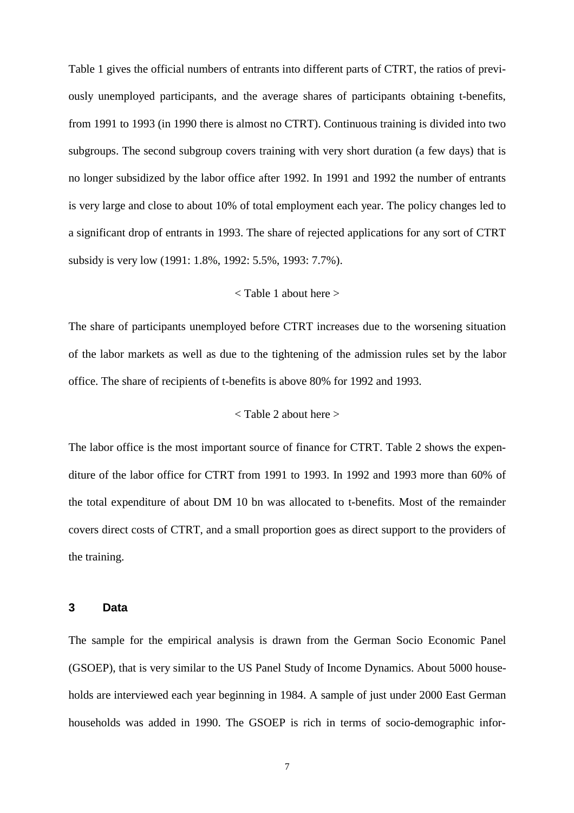Table 1 gives the official numbers of entrants into different parts of CTRT, the ratios of previously unemployed participants, and the average shares of participants obtaining t-benefits, from 1991 to 1993 (in 1990 there is almost no CTRT). Continuous training is divided into two subgroups. The second subgroup covers training with very short duration (a few days) that is no longer subsidized by the labor office after 1992. In 1991 and 1992 the number of entrants is very large and close to about 10% of total employment each year. The policy changes led to a significant drop of entrants in 1993. The share of rejected applications for any sort of CTRT subsidy is very low (1991: 1.8%, 1992: 5.5%, 1993: 7.7%).

#### < Table 1 about here >

The share of participants unemployed before CTRT increases due to the worsening situation of the labor markets as well as due to the tightening of the admission rules set by the labor office. The share of recipients of t-benefits is above 80% for 1992 and 1993.

#### < Table 2 about here >

The labor office is the most important source of finance for CTRT. Table 2 shows the expenditure of the labor office for CTRT from 1991 to 1993. In 1992 and 1993 more than 60% of the total expenditure of about DM 10 bn was allocated to t-benefits. Most of the remainder covers direct costs of CTRT, and a small proportion goes as direct support to the providers of the training.

#### **3 Data**

The sample for the empirical analysis is drawn from the German Socio Economic Panel (GSOEP), that is very similar to the US Panel Study of Income Dynamics. About 5000 households are interviewed each year beginning in 1984. A sample of just under 2000 East German households was added in 1990. The GSOEP is rich in terms of socio-demographic infor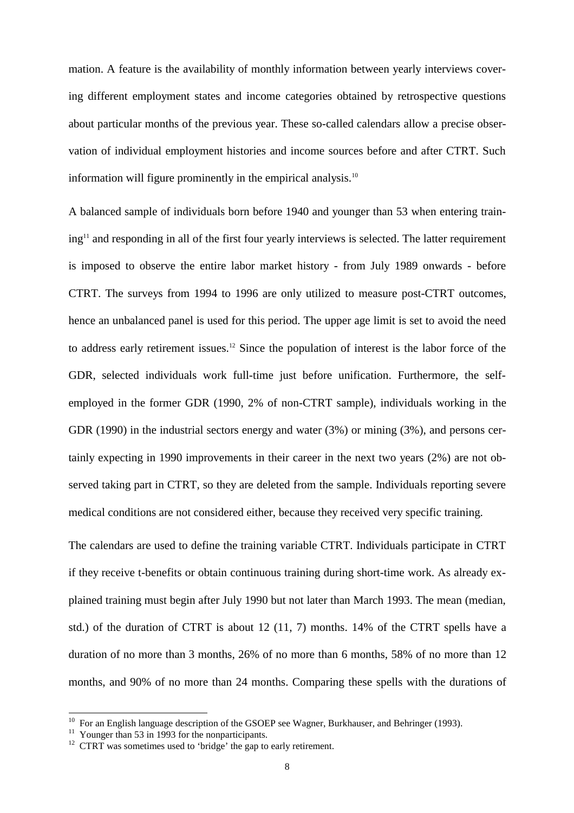mation. A feature is the availability of monthly information between yearly interviews covering different employment states and income categories obtained by retrospective questions about particular months of the previous year. These so-called calendars allow a precise observation of individual employment histories and income sources before and after CTRT. Such information will figure prominently in the empirical analysis. $10$ 

A balanced sample of individuals born before 1940 and younger than 53 when entering training<sup>11</sup> and responding in all of the first four yearly interviews is selected. The latter requirement is imposed to observe the entire labor market history - from July 1989 onwards - before CTRT. The surveys from 1994 to 1996 are only utilized to measure post-CTRT outcomes, hence an unbalanced panel is used for this period. The upper age limit is set to avoid the need to address early retirement issues.12 Since the population of interest is the labor force of the GDR, selected individuals work full-time just before unification. Furthermore, the selfemployed in the former GDR (1990, 2% of non-CTRT sample), individuals working in the GDR (1990) in the industrial sectors energy and water (3%) or mining (3%), and persons certainly expecting in 1990 improvements in their career in the next two years (2%) are not observed taking part in CTRT, so they are deleted from the sample. Individuals reporting severe medical conditions are not considered either, because they received very specific training.

The calendars are used to define the training variable CTRT. Individuals participate in CTRT if they receive t-benefits or obtain continuous training during short-time work. As already explained training must begin after July 1990 but not later than March 1993. The mean (median, std.) of the duration of CTRT is about 12 (11, 7) months. 14% of the CTRT spells have a duration of no more than 3 months, 26% of no more than 6 months, 58% of no more than 12 months, and 90% of no more than 24 months. Comparing these spells with the durations of

j

<sup>&</sup>lt;sup>10</sup> For an English language description of the GSOEP see Wagner, Burkhauser, and Behringer (1993).<br><sup>11</sup> Younger than 53 in 1993 for the nonparticipants.<br><sup>12</sup> CTRT was sometimes used to 'bridge' the gap to early retiremen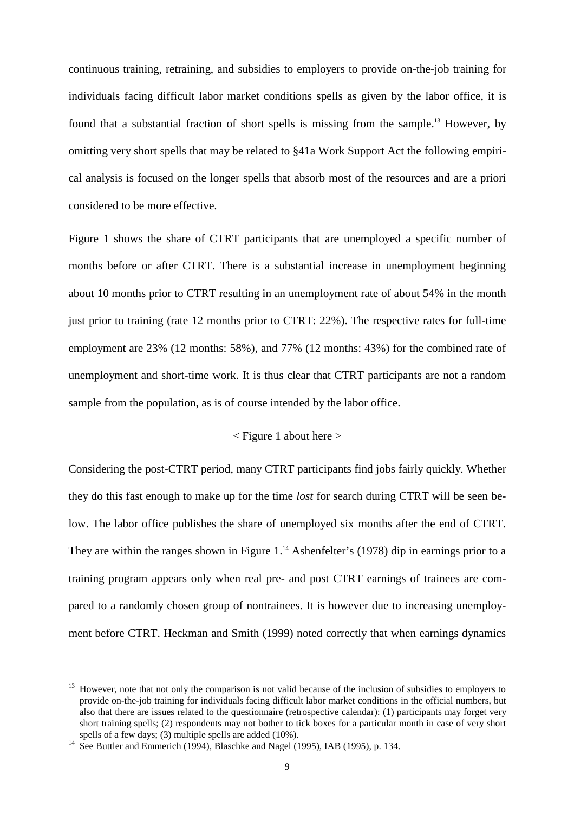continuous training, retraining, and subsidies to employers to provide on-the-job training for individuals facing difficult labor market conditions spells as given by the labor office, it is found that a substantial fraction of short spells is missing from the sample.13 However, by omitting very short spells that may be related to §41a Work Support Act the following empirical analysis is focused on the longer spells that absorb most of the resources and are a priori considered to be more effective.

Figure 1 shows the share of CTRT participants that are unemployed a specific number of months before or after CTRT. There is a substantial increase in unemployment beginning about 10 months prior to CTRT resulting in an unemployment rate of about 54% in the month just prior to training (rate 12 months prior to CTRT: 22%). The respective rates for full-time employment are 23% (12 months: 58%), and 77% (12 months: 43%) for the combined rate of unemployment and short-time work. It is thus clear that CTRT participants are not a random sample from the population, as is of course intended by the labor office.

#### $\leq$  Figure 1 about here  $>$

Considering the post-CTRT period, many CTRT participants find jobs fairly quickly. Whether they do this fast enough to make up for the time *lost* for search during CTRT will be seen below. The labor office publishes the share of unemployed six months after the end of CTRT. They are within the ranges shown in Figure 1.<sup>14</sup> Ashenfelter's (1978) dip in earnings prior to a training program appears only when real pre- and post CTRT earnings of trainees are compared to a randomly chosen group of nontrainees. It is however due to increasing unemployment before CTRT. Heckman and Smith (1999) noted correctly that when earnings dynamics

<sup>&</sup>lt;sup>13</sup> However, note that not only the comparison is not valid because of the inclusion of subsidies to employers to provide on-the-job training for individuals facing difficult labor market conditions in the official numbers, but also that there are issues related to the questionnaire (retrospective calendar): (1) participants may forget very short training spells; (2) respondents may not bother to tick boxes for a particular month in case of very short spells of a few days; (3) multiple spells are added (10%).<br><sup>14</sup> See Buttler and Emmerich (1994), Blaschke and Nagel (1995), IAB (1995), p. 134.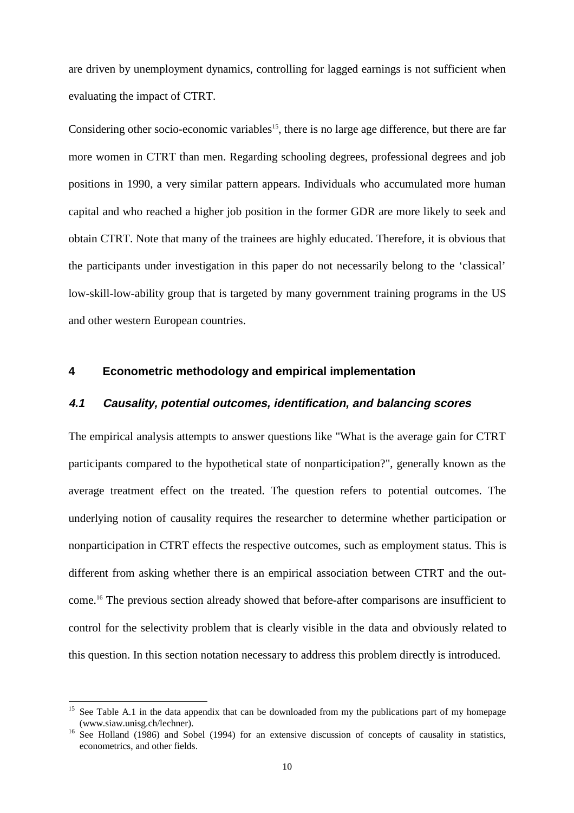are driven by unemployment dynamics, controlling for lagged earnings is not sufficient when evaluating the impact of CTRT.

Considering other socio-economic variables<sup>15</sup>, there is no large age difference, but there are far more women in CTRT than men. Regarding schooling degrees, professional degrees and job positions in 1990, a very similar pattern appears. Individuals who accumulated more human capital and who reached a higher job position in the former GDR are more likely to seek and obtain CTRT. Note that many of the trainees are highly educated. Therefore, it is obvious that the participants under investigation in this paper do not necessarily belong to the 'classical' low-skill-low-ability group that is targeted by many government training programs in the US and other western European countries.

#### **4 Econometric methodology and empirical implementation**

#### **4.1 Causality, potential outcomes, identification, and balancing scores**

The empirical analysis attempts to answer questions like "What is the average gain for CTRT participants compared to the hypothetical state of nonparticipation?", generally known as the average treatment effect on the treated. The question refers to potential outcomes. The underlying notion of causality requires the researcher to determine whether participation or nonparticipation in CTRT effects the respective outcomes, such as employment status. This is different from asking whether there is an empirical association between CTRT and the outcome.16 The previous section already showed that before-after comparisons are insufficient to control for the selectivity problem that is clearly visible in the data and obviously related to this question. In this section notation necessary to address this problem directly is introduced.

<sup>&</sup>lt;sup>15</sup> See Table A.1 in the data appendix that can be downloaded from my the publications part of my homepage (www.siaw.unisg.ch/lechner).

 $^{16}$  See Holland (1986) and Sobel (1994) for an extensive discussion of concepts of causality in statistics, econometrics, and other fields.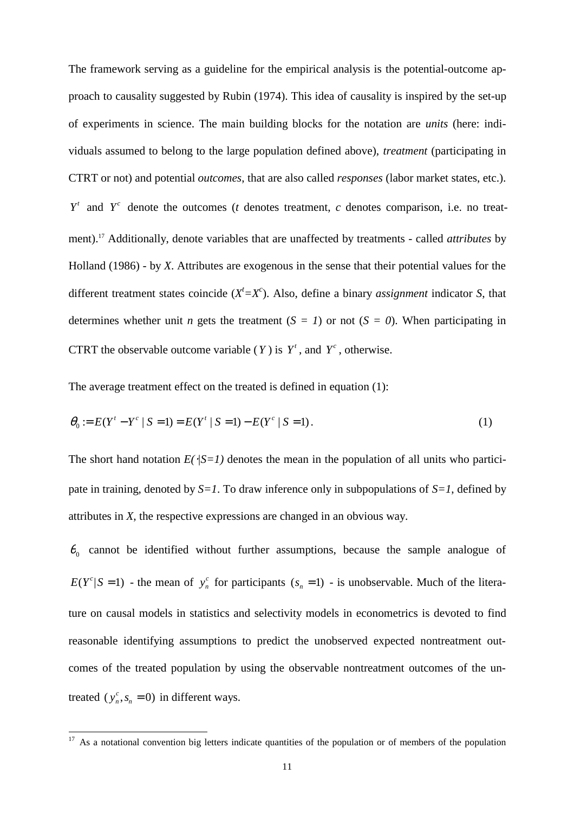The framework serving as a guideline for the empirical analysis is the potential-outcome approach to causality suggested by Rubin (1974). This idea of causality is inspired by the set-up of experiments in science. The main building blocks for the notation are *units* (here: individuals assumed to belong to the large population defined above), *treatment* (participating in CTRT or not) and potential *outcomes*, that are also called *responses* (labor market states, etc.).  $Y^t$  and  $Y^c$  denote the outcomes (*t* denotes treatment, *c* denotes comparison, i.e. no treatment).17 Additionally, denote variables that are unaffected by treatments - called *attributes* by Holland (1986) - by *X*. Attributes are exogenous in the sense that their potential values for the different treatment states coincide  $(X<sup>t</sup>=X<sup>c</sup>)$ . Also, define a binary *assignment* indicator *S*, that determines whether unit *n* gets the treatment  $(S = I)$  or not  $(S = 0)$ . When participating in CTRT the observable outcome variable (*Y*) is  $Y^t$ , and  $Y^c$ , otherwise.

The average treatment effect on the treated is defined in equation (1):

$$
\theta_0 := E(Y^t - Y^c | S = 1) = E(Y^t | S = 1) - E(Y^c | S = 1).
$$
\n(1)

The short hand notation  $E(\sqrt{S-1})$  denotes the mean in the population of all units who participate in training, denoted by  $S=1$ . To draw inference only in subpopulations of  $S=1$ , defined by attributes in *X*, the respective expressions are changed in an obvious way.

 $\theta_0$  cannot be identified without further assumptions, because the sample analogue of  $E(Y^c | S = 1)$  - the mean of  $y_n^c$  for participants  $(s_n = 1)$  - is unobservable. Much of the literature on causal models in statistics and selectivity models in econometrics is devoted to find reasonable identifying assumptions to predict the unobserved expected nontreatment outcomes of the treated population by using the observable nontreatment outcomes of the untreated  $(y_n^c, s_n = 0)$  in different ways.

 $17$  As a notational convention big letters indicate quantities of the population or of members of the population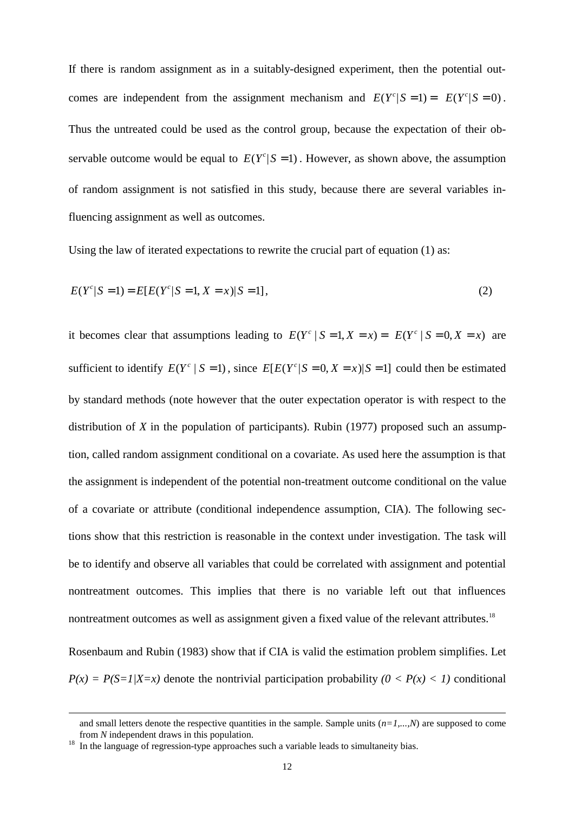If there is random assignment as in a suitably-designed experiment, then the potential outcomes are independent from the assignment mechanism and  $E(Y^c | S = 1) = E(Y^c | S = 0)$ . Thus the untreated could be used as the control group, because the expectation of their observable outcome would be equal to  $E(Y<sup>c</sup> | S = 1)$ . However, as shown above, the assumption of random assignment is not satisfied in this study, because there are several variables influencing assignment as well as outcomes.

Using the law of iterated expectations to rewrite the crucial part of equation (1) as:

$$
E(Yc | S = 1) = E[E(Yc | S = 1, X = x) | S = 1],
$$
\n(2)

it becomes clear that assumptions leading to  $E(Y^c | S = 1, X = x) = E(Y^c | S = 0, X = x)$  are sufficient to identify  $E(Y^c | S = 1)$ , since  $E[E(Y^c | S = 0, X = x)|S = 1]$  could then be estimated by standard methods (note however that the outer expectation operator is with respect to the distribution of *X* in the population of participants). Rubin (1977) proposed such an assumption, called random assignment conditional on a covariate. As used here the assumption is that the assignment is independent of the potential non-treatment outcome conditional on the value of a covariate or attribute (conditional independence assumption, CIA). The following sections show that this restriction is reasonable in the context under investigation. The task will be to identify and observe all variables that could be correlated with assignment and potential nontreatment outcomes. This implies that there is no variable left out that influences nontreatment outcomes as well as assignment given a fixed value of the relevant attributes.<sup>18</sup>

Rosenbaum and Rubin (1983) show that if CIA is valid the estimation problem simplifies. Let  $P(x) = P(S=1|X=x)$  denote the nontrivial participation probability  $(0 < P(x) < 1)$  conditional

j

and small letters denote the respective quantities in the sample. Sample units  $(n=1,...,N)$  are supposed to come from *N* independent draws in this population.<br><sup>18</sup> In the language of regression-type approaches such a variable leads to simultaneity bias.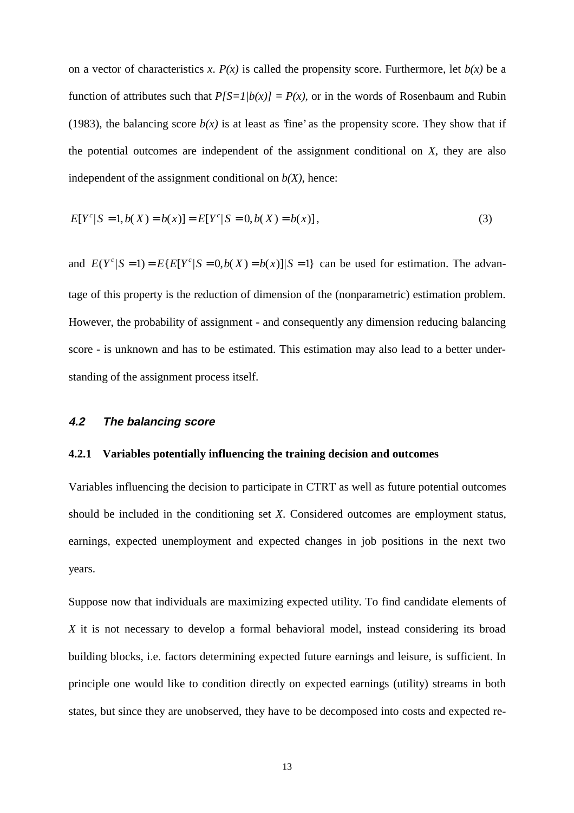on a vector of characteristics *x*.  $P(x)$  is called the propensity score. Furthermore, let  $b(x)$  be a function of attributes such that  $P(S=1/b(x)) = P(x)$ , or in the words of Rosenbaum and Rubin (1983), the balancing score  $b(x)$  is at least as 'fine' as the propensity score. They show that if the potential outcomes are independent of the assignment conditional on *X*, they are also independent of the assignment conditional on  $b(X)$ , hence:

$$
E[Y^{c}|S=1, b(X) = b(x)] = E[Y^{c}|S=0, b(X) = b(x)],
$$
\n(3)

and  $E(Y^c | S = 1) = E\{E[Y^c | S = 0, b(X) = b(x)] | S = 1\}$  can be used for estimation. The advantage of this property is the reduction of dimension of the (nonparametric) estimation problem. However, the probability of assignment - and consequently any dimension reducing balancing score - is unknown and has to be estimated. This estimation may also lead to a better understanding of the assignment process itself.

#### **4.2 The balancing score**

#### **4.2.1 Variables potentially influencing the training decision and outcomes**

Variables influencing the decision to participate in CTRT as well as future potential outcomes should be included in the conditioning set *X*. Considered outcomes are employment status, earnings, expected unemployment and expected changes in job positions in the next two years.

Suppose now that individuals are maximizing expected utility. To find candidate elements of *X* it is not necessary to develop a formal behavioral model, instead considering its broad building blocks, i.e. factors determining expected future earnings and leisure, is sufficient. In principle one would like to condition directly on expected earnings (utility) streams in both states, but since they are unobserved, they have to be decomposed into costs and expected re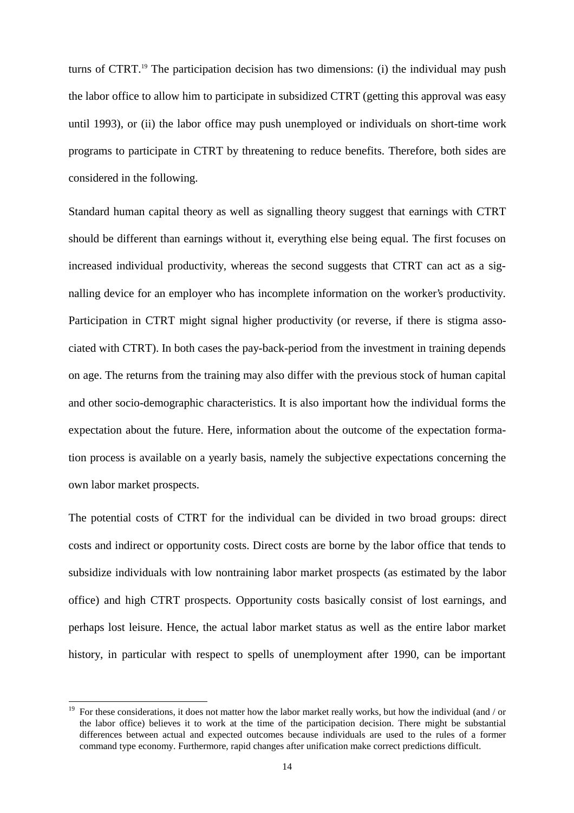turns of CTRT.<sup>19</sup> The participation decision has two dimensions: (i) the individual may push the labor office to allow him to participate in subsidized CTRT (getting this approval was easy until 1993), or (ii) the labor office may push unemployed or individuals on short-time work programs to participate in CTRT by threatening to reduce benefits. Therefore, both sides are considered in the following.

Standard human capital theory as well as signalling theory suggest that earnings with CTRT should be different than earnings without it, everything else being equal. The first focuses on increased individual productivity, whereas the second suggests that CTRT can act as a signalling device for an employer who has incomplete information on the worker's productivity. Participation in CTRT might signal higher productivity (or reverse, if there is stigma associated with CTRT). In both cases the pay-back-period from the investment in training depends on age. The returns from the training may also differ with the previous stock of human capital and other socio-demographic characteristics. It is also important how the individual forms the expectation about the future. Here, information about the outcome of the expectation formation process is available on a yearly basis, namely the subjective expectations concerning the own labor market prospects.

The potential costs of CTRT for the individual can be divided in two broad groups: direct costs and indirect or opportunity costs. Direct costs are borne by the labor office that tends to subsidize individuals with low nontraining labor market prospects (as estimated by the labor office) and high CTRT prospects. Opportunity costs basically consist of lost earnings, and perhaps lost leisure. Hence, the actual labor market status as well as the entire labor market history, in particular with respect to spells of unemployment after 1990, can be important

<sup>19</sup> For these considerations, it does not matter how the labor market really works, but how the individual (and / or the labor office) believes it to work at the time of the participation decision. There might be substantial differences between actual and expected outcomes because individuals are used to the rules of a former command type economy. Furthermore, rapid changes after unification make correct predictions difficult.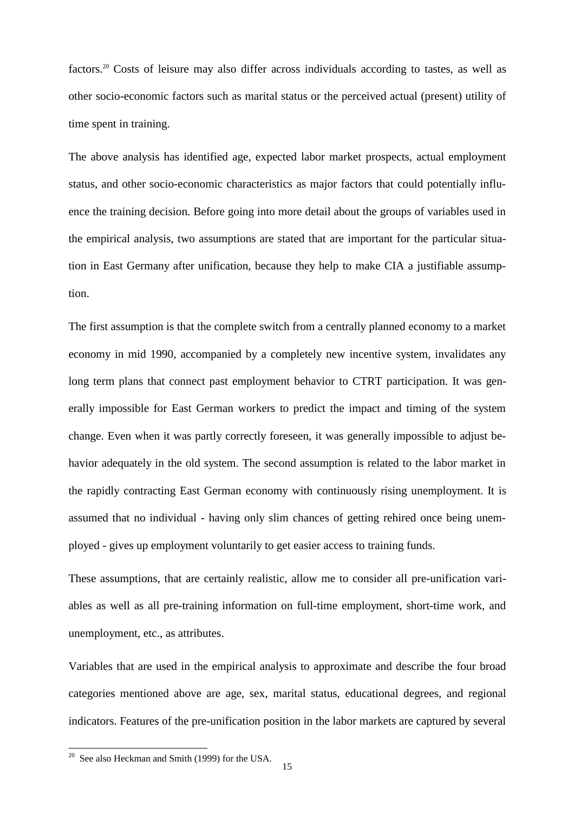factors.20 Costs of leisure may also differ across individuals according to tastes, as well as other socio-economic factors such as marital status or the perceived actual (present) utility of time spent in training.

The above analysis has identified age, expected labor market prospects, actual employment status, and other socio-economic characteristics as major factors that could potentially influence the training decision. Before going into more detail about the groups of variables used in the empirical analysis, two assumptions are stated that are important for the particular situation in East Germany after unification, because they help to make CIA a justifiable assumption.

The first assumption is that the complete switch from a centrally planned economy to a market economy in mid 1990, accompanied by a completely new incentive system, invalidates any long term plans that connect past employment behavior to CTRT participation. It was generally impossible for East German workers to predict the impact and timing of the system change. Even when it was partly correctly foreseen, it was generally impossible to adjust behavior adequately in the old system. The second assumption is related to the labor market in the rapidly contracting East German economy with continuously rising unemployment. It is assumed that no individual - having only slim chances of getting rehired once being unemployed - gives up employment voluntarily to get easier access to training funds.

These assumptions, that are certainly realistic, allow me to consider all pre-unification variables as well as all pre-training information on full-time employment, short-time work, and unemployment, etc., as attributes.

Variables that are used in the empirical analysis to approximate and describe the four broad categories mentioned above are age, sex, marital status, educational degrees, and regional indicators. Features of the pre-unification position in the labor markets are captured by several

j

 $20$  See also Heckman and Smith (1999) for the USA.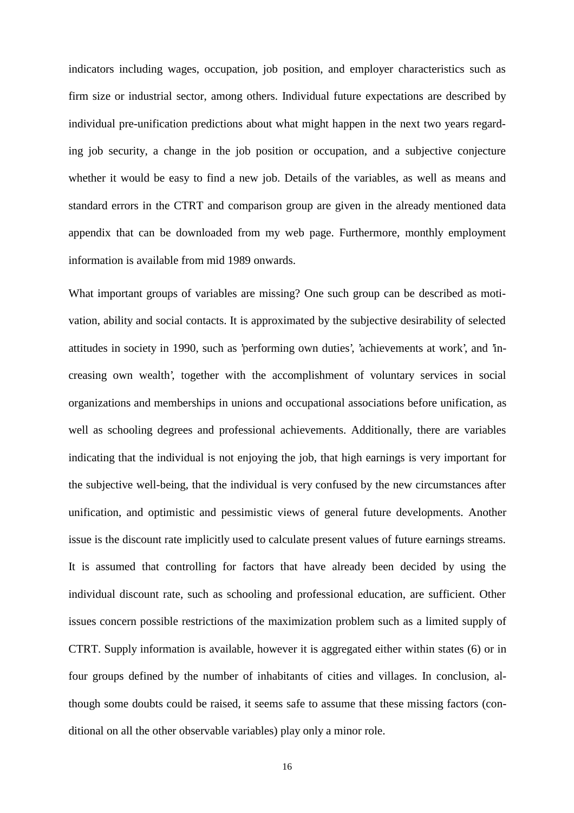indicators including wages, occupation, job position, and employer characteristics such as firm size or industrial sector, among others. Individual future expectations are described by individual pre-unification predictions about what might happen in the next two years regarding job security, a change in the job position or occupation, and a subjective conjecture whether it would be easy to find a new job. Details of the variables, as well as means and standard errors in the CTRT and comparison group are given in the already mentioned data appendix that can be downloaded from my web page. Furthermore, monthly employment information is available from mid 1989 onwards.

What important groups of variables are missing? One such group can be described as motivation, ability and social contacts. It is approximated by the subjective desirability of selected attitudes in society in 1990, such as 'performing own duties', 'achievements at work', and 'increasing own wealth', together with the accomplishment of voluntary services in social organizations and memberships in unions and occupational associations before unification, as well as schooling degrees and professional achievements. Additionally, there are variables indicating that the individual is not enjoying the job, that high earnings is very important for the subjective well-being, that the individual is very confused by the new circumstances after unification, and optimistic and pessimistic views of general future developments. Another issue is the discount rate implicitly used to calculate present values of future earnings streams. It is assumed that controlling for factors that have already been decided by using the individual discount rate, such as schooling and professional education, are sufficient. Other issues concern possible restrictions of the maximization problem such as a limited supply of CTRT. Supply information is available, however it is aggregated either within states (6) or in four groups defined by the number of inhabitants of cities and villages. In conclusion, although some doubts could be raised, it seems safe to assume that these missing factors (conditional on all the other observable variables) play only a minor role.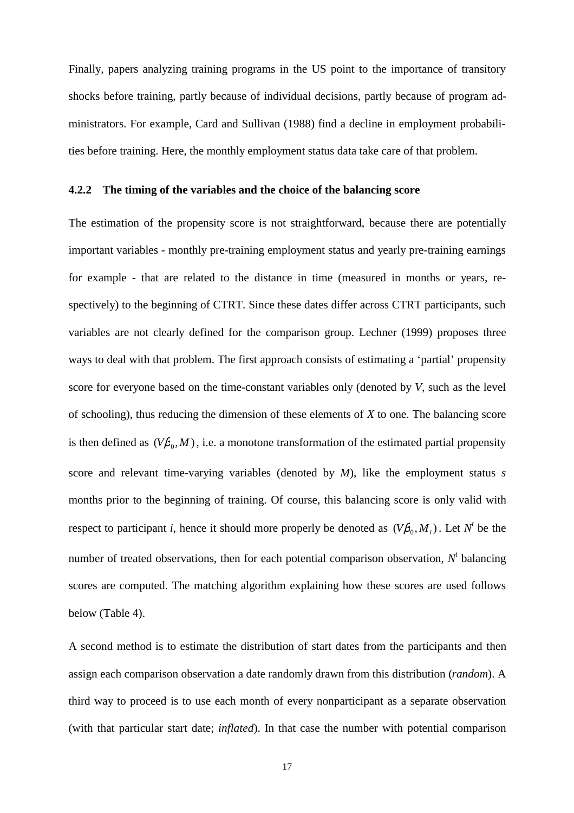Finally, papers analyzing training programs in the US point to the importance of transitory shocks before training, partly because of individual decisions, partly because of program administrators. For example, Card and Sullivan (1988) find a decline in employment probabilities before training. Here, the monthly employment status data take care of that problem.

#### **4.2.2 The timing of the variables and the choice of the balancing score**

The estimation of the propensity score is not straightforward, because there are potentially important variables - monthly pre-training employment status and yearly pre-training earnings for example - that are related to the distance in time (measured in months or years, respectively) to the beginning of CTRT. Since these dates differ across CTRT participants, such variables are not clearly defined for the comparison group. Lechner (1999) proposes three ways to deal with that problem. The first approach consists of estimating a 'partial' propensity score for everyone based on the time-constant variables only (denoted by *V*, such as the level of schooling), thus reducing the dimension of these elements of *X* to one. The balancing score is then defined as  $(V\beta_0, M)$ , i.e. a monotone transformation of the estimated partial propensity score and relevant time-varying variables (denoted by *M*), like the employment status *s* months prior to the beginning of training. Of course, this balancing score is only valid with respect to participant *i*, hence it should more properly be denoted as  $(V\beta_0, M_i)$ . Let  $N^t$  be the number of treated observations, then for each potential comparison observation,  $N<sup>t</sup>$  balancing scores are computed. The matching algorithm explaining how these scores are used follows below (Table 4).

A second method is to estimate the distribution of start dates from the participants and then assign each comparison observation a date randomly drawn from this distribution (*random*). A third way to proceed is to use each month of every nonparticipant as a separate observation (with that particular start date; *inflated*). In that case the number with potential comparison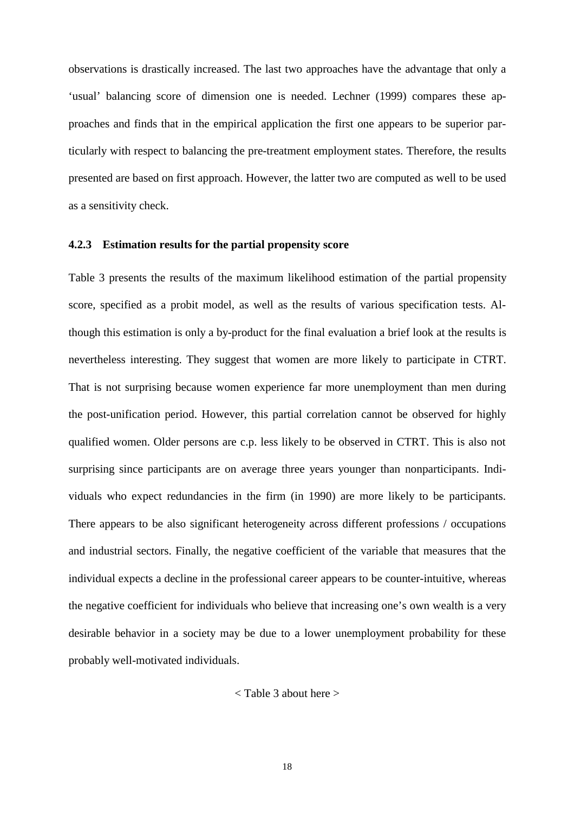observations is drastically increased. The last two approaches have the advantage that only a 'usual' balancing score of dimension one is needed. Lechner (1999) compares these approaches and finds that in the empirical application the first one appears to be superior particularly with respect to balancing the pre-treatment employment states. Therefore, the results presented are based on first approach. However, the latter two are computed as well to be used as a sensitivity check.

#### **4.2.3 Estimation results for the partial propensity score**

Table 3 presents the results of the maximum likelihood estimation of the partial propensity score, specified as a probit model, as well as the results of various specification tests. Although this estimation is only a by-product for the final evaluation a brief look at the results is nevertheless interesting. They suggest that women are more likely to participate in CTRT. That is not surprising because women experience far more unemployment than men during the post-unification period. However, this partial correlation cannot be observed for highly qualified women. Older persons are c.p. less likely to be observed in CTRT. This is also not surprising since participants are on average three years younger than nonparticipants. Individuals who expect redundancies in the firm (in 1990) are more likely to be participants. There appears to be also significant heterogeneity across different professions / occupations and industrial sectors. Finally, the negative coefficient of the variable that measures that the individual expects a decline in the professional career appears to be counter-intuitive, whereas the negative coefficient for individuals who believe that increasing one's own wealth is a very desirable behavior in a society may be due to a lower unemployment probability for these probably well-motivated individuals.

< Table 3 about here >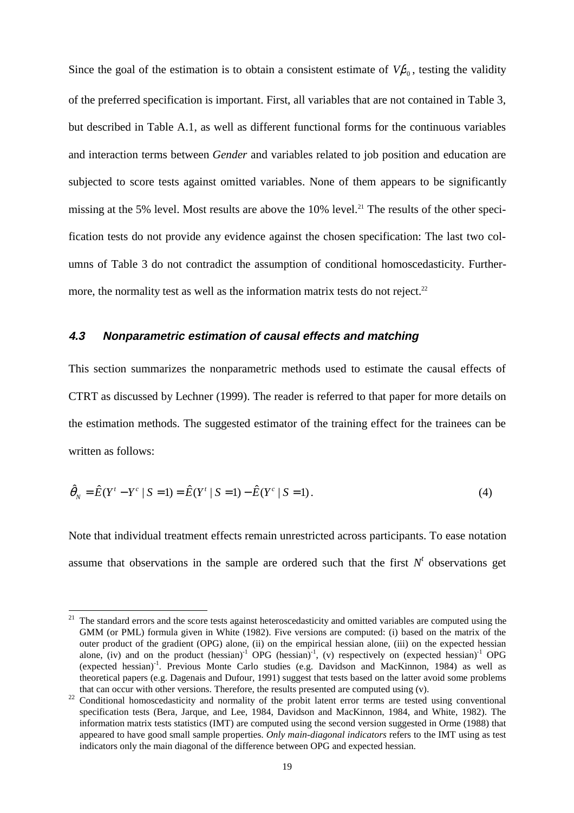Since the goal of the estimation is to obtain a consistent estimate of  $V\beta_0$ , testing the validity of the preferred specification is important. First, all variables that are not contained in Table 3, but described in Table A.1, as well as different functional forms for the continuous variables and interaction terms between *Gender* and variables related to job position and education are subjected to score tests against omitted variables. None of them appears to be significantly missing at the 5% level. Most results are above the  $10\%$  level.<sup>21</sup> The results of the other specification tests do not provide any evidence against the chosen specification: The last two columns of Table 3 do not contradict the assumption of conditional homoscedasticity. Furthermore, the normality test as well as the information matrix tests do not reject. $22$ 

#### **4.3 Nonparametric estimation of causal effects and matching**

This section summarizes the nonparametric methods used to estimate the causal effects of CTRT as discussed by Lechner (1999). The reader is referred to that paper for more details on the estimation methods. The suggested estimator of the training effect for the trainees can be written as follows:

$$
\hat{\theta}_N = \hat{E}(Y^t - Y^c \mid S = 1) = \hat{E}(Y^t \mid S = 1) - \hat{E}(Y^c \mid S = 1).
$$
\n(4)

Note that individual treatment effects remain unrestricted across participants. To ease notation assume that observations in the sample are ordered such that the first  $N<sup>t</sup>$  observations get

 $21$  The standard errors and the score tests against heteroscedasticity and omitted variables are computed using the GMM (or PML) formula given in White (1982). Five versions are computed: (i) based on the matrix of the outer product of the gradient (OPG) alone, (ii) on the empirical hessian alone, (iii) on the expected hessian alone, (iv) and on the product (hessian)<sup>-1</sup> OPG (hessian)<sup>-1</sup>, (v) respectively on (expected hessian)<sup>-1</sup> OPG (expected hessian)-1. Previous Monte Carlo studies (e.g. Davidson and MacKinnon, 1984) as well as theoretical papers (e.g. Dagenais and Dufour, 1991) suggest that tests based on the latter avoid some problems

that can occur with other versions. Therefore, the results presented are computed using  $(v)$ .<br><sup>22</sup> Conditional homoscedasticity and normality of the probit latent error terms are tested using conventional specification tests (Bera, Jarque, and Lee, 1984, Davidson and MacKinnon, 1984, and White, 1982). The information matrix tests statistics (IMT) are computed using the second version suggested in Orme (1988) that appeared to have good small sample properties. *Only main-diagonal indicators* refers to the IMT using as test indicators only the main diagonal of the difference between OPG and expected hessian.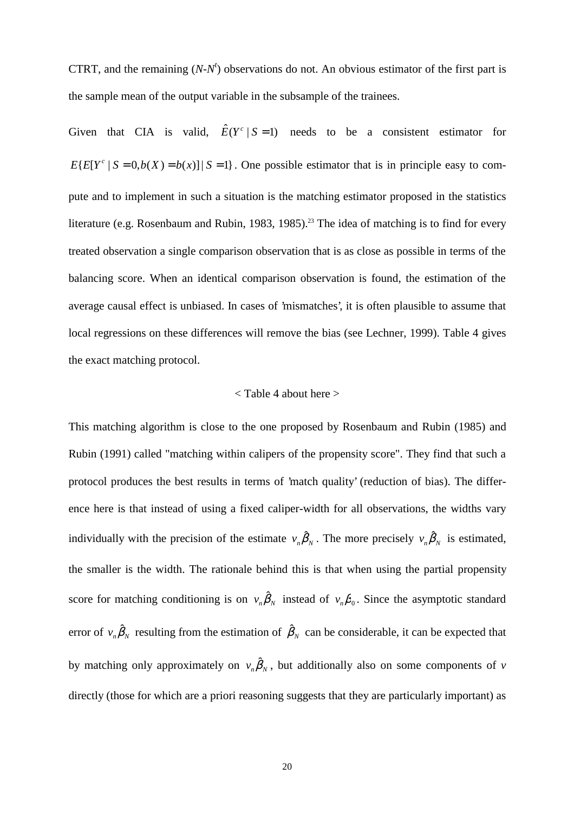CTRT, and the remaining  $(N-N<sup>t</sup>)$  observations do not. An obvious estimator of the first part is the sample mean of the output variable in the subsample of the trainees.

Given that CIA is valid,  $\hat{E}(Y^c | S = 1)$  needs to be a consistent estimator for  $E\{E[Y^c \mid S = 0, b(X) = b(x)\}\$   $S = 1$ . One possible estimator that is in principle easy to compute and to implement in such a situation is the matching estimator proposed in the statistics literature (e.g. Rosenbaum and Rubin, 1983, 1985).<sup>23</sup> The idea of matching is to find for every treated observation a single comparison observation that is as close as possible in terms of the balancing score. When an identical comparison observation is found, the estimation of the average causal effect is unbiased. In cases of 'mismatches', it is often plausible to assume that local regressions on these differences will remove the bias (see Lechner, 1999). Table 4 gives the exact matching protocol.

#### < Table 4 about here >

This matching algorithm is close to the one proposed by Rosenbaum and Rubin (1985) and Rubin (1991) called "matching within calipers of the propensity score". They find that such a protocol produces the best results in terms of 'match quality' (reduction of bias). The difference here is that instead of using a fixed caliper-width for all observations, the widths vary individually with the precision of the estimate  $v_n \hat{\beta}_N$ . The more precisely  $v_n \hat{\beta}_N$  is estimated, the smaller is the width. The rationale behind this is that when using the partial propensity score for matching conditioning is on  $v_n \hat{\beta}_N$  instead of  $v_n \beta_0$ . Since the asymptotic standard error of  $v_n \hat{\beta}_N$  resulting from the estimation of  $\hat{\beta}_N$  can be considerable, it can be expected that by matching only approximately on  $v_n\hat{\beta}_N$ , but additionally also on some components of *v* directly (those for which are a priori reasoning suggests that they are particularly important) as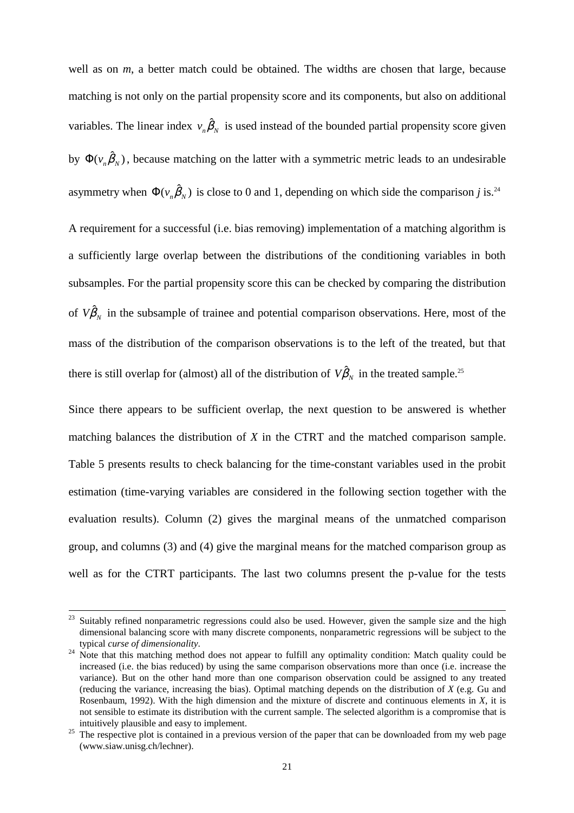well as on *m*, a better match could be obtained. The widths are chosen that large, because matching is not only on the partial propensity score and its components, but also on additional variables. The linear index  $v_n \hat{\beta}_N$  is used instead of the bounded partial propensity score given by  $\Phi(v_n \hat{\beta}_N)$ , because matching on the latter with a symmetric metric leads to an undesirable asymmetry when  $\Phi(v_n \hat{\beta}_N)$  is close to 0 and 1, depending on which side the comparison *j* is.<sup>24</sup>

A requirement for a successful (i.e. bias removing) implementation of a matching algorithm is a sufficiently large overlap between the distributions of the conditioning variables in both subsamples. For the partial propensity score this can be checked by comparing the distribution of  $V\hat{\beta}_N$  in the subsample of trainee and potential comparison observations. Here, most of the mass of the distribution of the comparison observations is to the left of the treated, but that there is still overlap for (almost) all of the distribution of  $V\hat{\beta}_N$  in the treated sample.<sup>25</sup>

Since there appears to be sufficient overlap, the next question to be answered is whether matching balances the distribution of *X* in the CTRT and the matched comparison sample. Table 5 presents results to check balancing for the time-constant variables used in the probit estimation (time-varying variables are considered in the following section together with the evaluation results). Column (2) gives the marginal means of the unmatched comparison group, and columns (3) and (4) give the marginal means for the matched comparison group as well as for the CTRT participants. The last two columns present the p-value for the tests

<sup>&</sup>lt;sup>23</sup> Suitably refined nonparametric regressions could also be used. However, given the sample size and the high dimensional balancing score with many discrete components, nonparametric regressions will be subject to the typical curse of dimensionality.

typical *curse of dimensionality*. 24 Note that this matching method does not appear to fulfill any optimality condition: Match quality could be increased (i.e. the bias reduced) by using the same comparison observations more than once (i.e. increase the variance). But on the other hand more than one comparison observation could be assigned to any treated (reducing the variance, increasing the bias). Optimal matching depends on the distribution of *X* (e.g. Gu and Rosenbaum, 1992). With the high dimension and the mixture of discrete and continuous elements in *X*, it is not sensible to estimate its distribution with the current sample. The selected algorithm is a compromise that is intuitively plausible and easy to implement. 25 The respective plot is contained in a previous version of the paper that can be downloaded from my web page

<sup>(</sup>www.siaw.unisg.ch/lechner).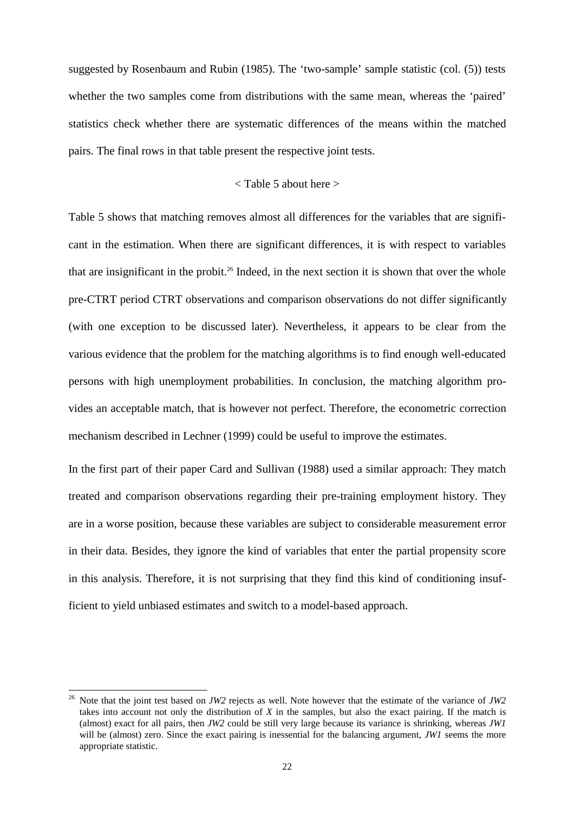suggested by Rosenbaum and Rubin (1985). The 'two-sample' sample statistic (col. (5)) tests whether the two samples come from distributions with the same mean, whereas the 'paired' statistics check whether there are systematic differences of the means within the matched pairs. The final rows in that table present the respective joint tests.

#### < Table 5 about here >

Table 5 shows that matching removes almost all differences for the variables that are significant in the estimation. When there are significant differences, it is with respect to variables that are insignificant in the probit.<sup>26</sup> Indeed, in the next section it is shown that over the whole pre-CTRT period CTRT observations and comparison observations do not differ significantly (with one exception to be discussed later). Nevertheless, it appears to be clear from the various evidence that the problem for the matching algorithms is to find enough well-educated persons with high unemployment probabilities. In conclusion, the matching algorithm provides an acceptable match, that is however not perfect. Therefore, the econometric correction mechanism described in Lechner (1999) could be useful to improve the estimates.

In the first part of their paper Card and Sullivan (1988) used a similar approach: They match treated and comparison observations regarding their pre-training employment history. They are in a worse position, because these variables are subject to considerable measurement error in their data. Besides, they ignore the kind of variables that enter the partial propensity score in this analysis. Therefore, it is not surprising that they find this kind of conditioning insufficient to yield unbiased estimates and switch to a model-based approach.

j

<sup>26</sup> Note that the joint test based on *JW2* rejects as well. Note however that the estimate of the variance of *JW2* takes into account not only the distribution of *X* in the samples, but also the exact pairing. If the match is (almost) exact for all pairs, then *JW2* could be still very large because its variance is shrinking, whereas *JW1* will be (almost) zero. Since the exact pairing is inessential for the balancing argument, *JW1* seems the more appropriate statistic.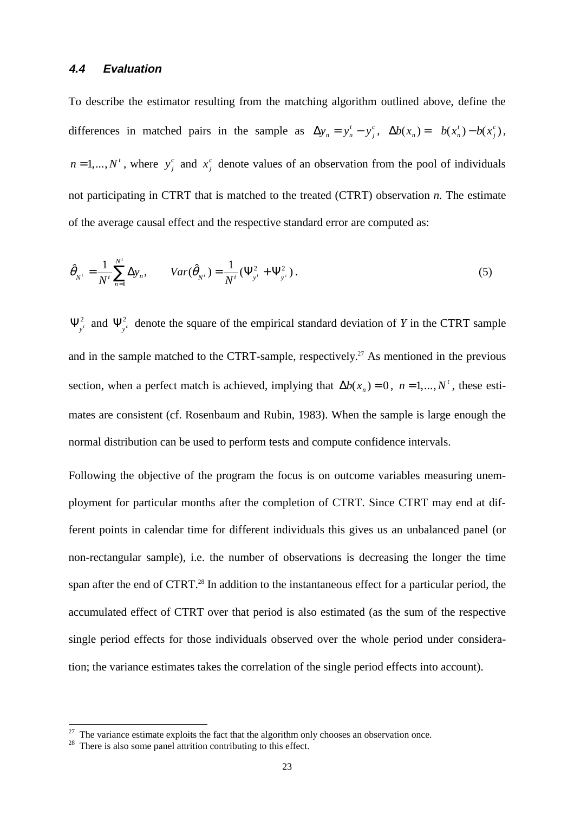#### **4.4 Evaluation**

To describe the estimator resulting from the matching algorithm outlined above, define the differences in matched pairs in the sample as  $\Delta y_n = y_n^t - y_n^t$  $y_n^t - y_j^c$ ,  $\Delta b(x_n) = b(x_n^t) - b(x_n^t)$  $(x_n^t) - b(x_j^c)$ ,  $n = 1,..., N<sup>t</sup>$ , where  $y_j^c$  and  $x_j^c$  denote values of an observation from the pool of individuals not participating in CTRT that is matched to the treated (CTRT) observation *n*. The estimate of the average causal effect and the respective standard error are computed as:

$$
\hat{\theta}_{N'} = \frac{1}{N'} \sum_{n=1}^{N'} \Delta y_n, \qquad Var(\hat{\theta}_{N'}) = \frac{1}{N'} (\Psi_{y'}^2 + \Psi_{y^c}^2).
$$
\n(5)

 $\Psi_{y'}^2$  and  $\Psi_{y'}^2$  denote the square of the empirical standard deviation of *Y* in the CTRT sample and in the sample matched to the CTRT-sample, respectively.<sup>27</sup> As mentioned in the previous section, when a perfect match is achieved, implying that  $\Delta b(x_n) = 0$ ,  $n = 1,..., N^t$ , these estimates are consistent (cf. Rosenbaum and Rubin, 1983). When the sample is large enough the normal distribution can be used to perform tests and compute confidence intervals.

Following the objective of the program the focus is on outcome variables measuring unemployment for particular months after the completion of CTRT. Since CTRT may end at different points in calendar time for different individuals this gives us an unbalanced panel (or non-rectangular sample), i.e. the number of observations is decreasing the longer the time span after the end of CTRT.<sup>28</sup> In addition to the instantaneous effect for a particular period, the accumulated effect of CTRT over that period is also estimated (as the sum of the respective single period effects for those individuals observed over the whole period under consideration; the variance estimates takes the correlation of the single period effects into account).

j

<sup>&</sup>lt;sup>27</sup> The variance estimate exploits the fact that the algorithm only chooses an observation once. <sup>28</sup> There is also some panel attrition contributing to this effect.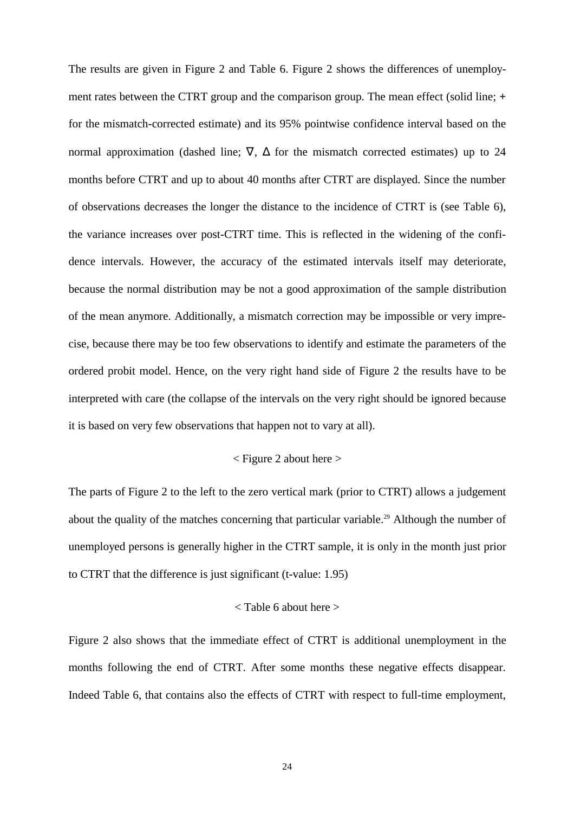The results are given in Figure 2 and Table 6. Figure 2 shows the differences of unemployment rates between the CTRT group and the comparison group. The mean effect (solid line; **+** for the mismatch-corrected estimate) and its 95% pointwise confidence interval based on the normal approximation (dashed line;  $\nabla$ ,  $\Delta$  for the mismatch corrected estimates) up to 24 months before CTRT and up to about 40 months after CTRT are displayed. Since the number of observations decreases the longer the distance to the incidence of CTRT is (see Table 6), the variance increases over post-CTRT time. This is reflected in the widening of the confidence intervals. However, the accuracy of the estimated intervals itself may deteriorate, because the normal distribution may be not a good approximation of the sample distribution of the mean anymore. Additionally, a mismatch correction may be impossible or very imprecise, because there may be too few observations to identify and estimate the parameters of the ordered probit model. Hence, on the very right hand side of Figure 2 the results have to be interpreted with care (the collapse of the intervals on the very right should be ignored because it is based on very few observations that happen not to vary at all).

#### < Figure 2 about here >

The parts of Figure 2 to the left to the zero vertical mark (prior to CTRT) allows a judgement about the quality of the matches concerning that particular variable.<sup>29</sup> Although the number of unemployed persons is generally higher in the CTRT sample, it is only in the month just prior to CTRT that the difference is just significant (t-value: 1.95)

#### < Table 6 about here >

Figure 2 also shows that the immediate effect of CTRT is additional unemployment in the months following the end of CTRT. After some months these negative effects disappear. Indeed Table 6, that contains also the effects of CTRT with respect to full-time employment,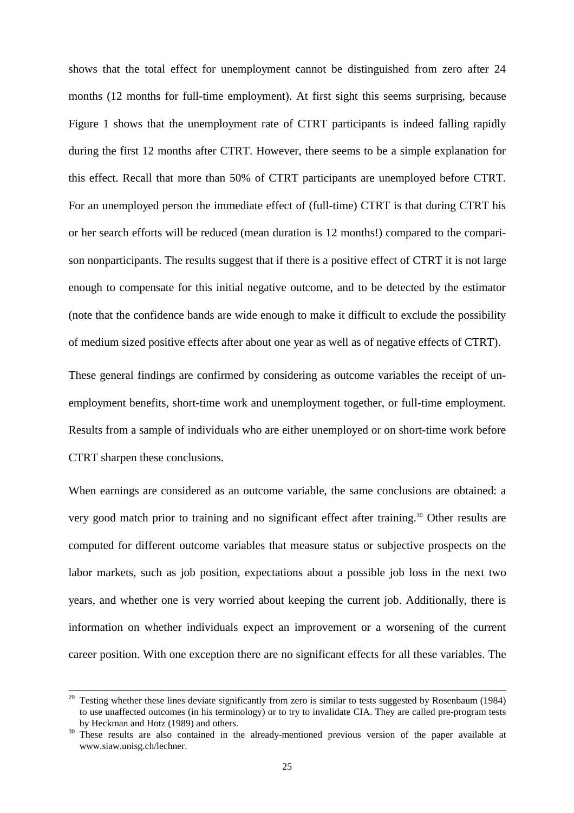shows that the total effect for unemployment cannot be distinguished from zero after 24 months (12 months for full-time employment). At first sight this seems surprising, because Figure 1 shows that the unemployment rate of CTRT participants is indeed falling rapidly during the first 12 months after CTRT. However, there seems to be a simple explanation for this effect. Recall that more than 50% of CTRT participants are unemployed before CTRT. For an unemployed person the immediate effect of (full-time) CTRT is that during CTRT his or her search efforts will be reduced (mean duration is 12 months!) compared to the comparison nonparticipants. The results suggest that if there is a positive effect of CTRT it is not large enough to compensate for this initial negative outcome, and to be detected by the estimator (note that the confidence bands are wide enough to make it difficult to exclude the possibility of medium sized positive effects after about one year as well as of negative effects of CTRT).

These general findings are confirmed by considering as outcome variables the receipt of unemployment benefits, short-time work and unemployment together, or full-time employment. Results from a sample of individuals who are either unemployed or on short-time work before CTRT sharpen these conclusions.

When earnings are considered as an outcome variable, the same conclusions are obtained: a very good match prior to training and no significant effect after training.<sup>30</sup> Other results are computed for different outcome variables that measure status or subjective prospects on the labor markets, such as job position, expectations about a possible job loss in the next two years, and whether one is very worried about keeping the current job. Additionally, there is information on whether individuals expect an improvement or a worsening of the current career position. With one exception there are no significant effects for all these variables. The

<sup>&</sup>lt;sup>29</sup> Testing whether these lines deviate significantly from zero is similar to tests suggested by Rosenbaum (1984) to use unaffected outcomes (in his terminology) or to try to invalidate CIA. They are called pre-program tests by Heckman and Hotz (1989) and others.<br><sup>30</sup> These results are also contained in the already-mentioned previous version of the paper available at

www.siaw.unisg.ch/lechner.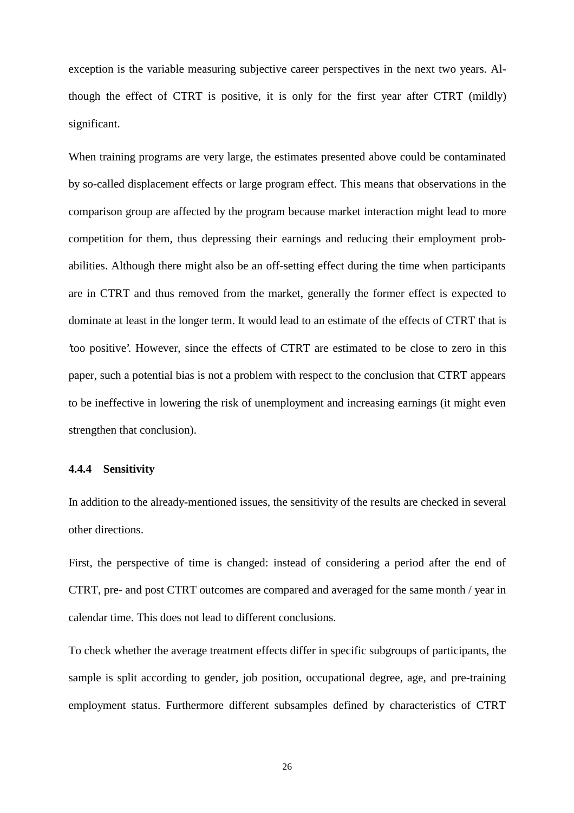exception is the variable measuring subjective career perspectives in the next two years. Although the effect of CTRT is positive, it is only for the first year after CTRT (mildly) significant.

When training programs are very large, the estimates presented above could be contaminated by so-called displacement effects or large program effect. This means that observations in the comparison group are affected by the program because market interaction might lead to more competition for them, thus depressing their earnings and reducing their employment probabilities. Although there might also be an off-setting effect during the time when participants are in CTRT and thus removed from the market, generally the former effect is expected to dominate at least in the longer term. It would lead to an estimate of the effects of CTRT that is 'too positive'. However, since the effects of CTRT are estimated to be close to zero in this paper, such a potential bias is not a problem with respect to the conclusion that CTRT appears to be ineffective in lowering the risk of unemployment and increasing earnings (it might even strengthen that conclusion).

#### **4.4.4 Sensitivity**

In addition to the already-mentioned issues, the sensitivity of the results are checked in several other directions.

First, the perspective of time is changed: instead of considering a period after the end of CTRT, pre- and post CTRT outcomes are compared and averaged for the same month / year in calendar time. This does not lead to different conclusions.

To check whether the average treatment effects differ in specific subgroups of participants, the sample is split according to gender, job position, occupational degree, age, and pre-training employment status. Furthermore different subsamples defined by characteristics of CTRT

26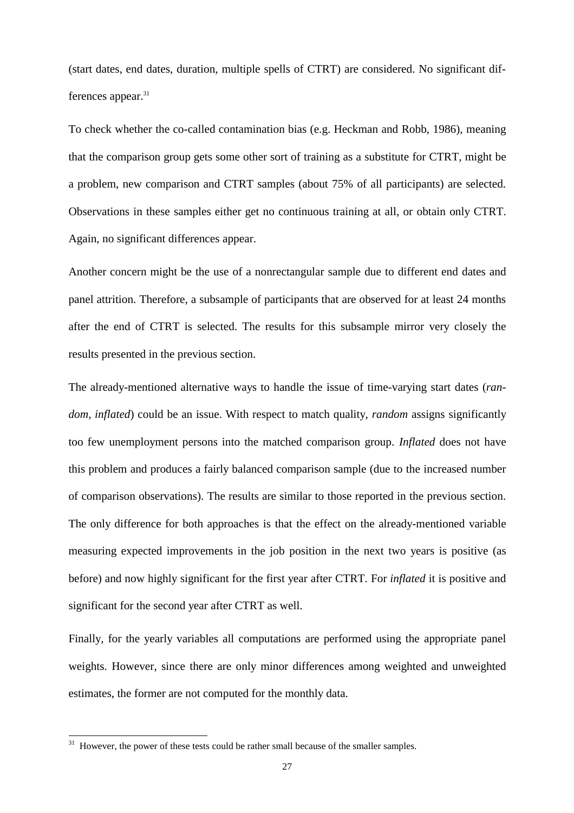(start dates, end dates, duration, multiple spells of CTRT) are considered. No significant differences appear.<sup>31</sup>

To check whether the co-called contamination bias (e.g. Heckman and Robb, 1986), meaning that the comparison group gets some other sort of training as a substitute for CTRT, might be a problem, new comparison and CTRT samples (about 75% of all participants) are selected. Observations in these samples either get no continuous training at all, or obtain only CTRT. Again, no significant differences appear.

Another concern might be the use of a nonrectangular sample due to different end dates and panel attrition. Therefore, a subsample of participants that are observed for at least 24 months after the end of CTRT is selected. The results for this subsample mirror very closely the results presented in the previous section.

The already-mentioned alternative ways to handle the issue of time-varying start dates (*random*, *inflated*) could be an issue. With respect to match quality, *random* assigns significantly too few unemployment persons into the matched comparison group. *Inflated* does not have this problem and produces a fairly balanced comparison sample (due to the increased number of comparison observations). The results are similar to those reported in the previous section. The only difference for both approaches is that the effect on the already-mentioned variable measuring expected improvements in the job position in the next two years is positive (as before) and now highly significant for the first year after CTRT. For *inflated* it is positive and significant for the second year after CTRT as well.

Finally, for the yearly variables all computations are performed using the appropriate panel weights. However, since there are only minor differences among weighted and unweighted estimates, the former are not computed for the monthly data.

<sup>31</sup> However, the power of these tests could be rather small because of the smaller samples.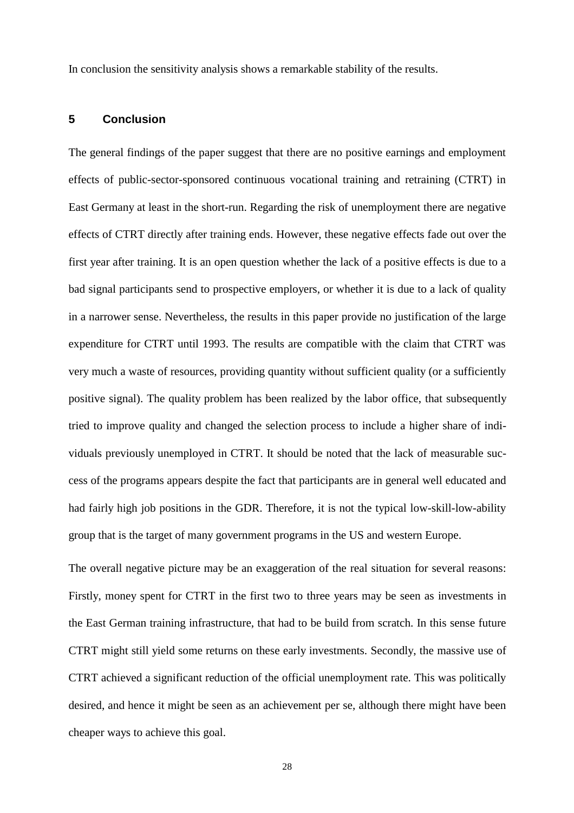In conclusion the sensitivity analysis shows a remarkable stability of the results.

#### **5 Conclusion**

The general findings of the paper suggest that there are no positive earnings and employment effects of public-sector-sponsored continuous vocational training and retraining (CTRT) in East Germany at least in the short-run. Regarding the risk of unemployment there are negative effects of CTRT directly after training ends. However, these negative effects fade out over the first year after training. It is an open question whether the lack of a positive effects is due to a bad signal participants send to prospective employers, or whether it is due to a lack of quality in a narrower sense. Nevertheless, the results in this paper provide no justification of the large expenditure for CTRT until 1993. The results are compatible with the claim that CTRT was very much a waste of resources, providing quantity without sufficient quality (or a sufficiently positive signal). The quality problem has been realized by the labor office, that subsequently tried to improve quality and changed the selection process to include a higher share of individuals previously unemployed in CTRT. It should be noted that the lack of measurable success of the programs appears despite the fact that participants are in general well educated and had fairly high job positions in the GDR. Therefore, it is not the typical low-skill-low-ability group that is the target of many government programs in the US and western Europe.

The overall negative picture may be an exaggeration of the real situation for several reasons: Firstly, money spent for CTRT in the first two to three years may be seen as investments in the East German training infrastructure, that had to be build from scratch. In this sense future CTRT might still yield some returns on these early investments. Secondly, the massive use of CTRT achieved a significant reduction of the official unemployment rate. This was politically desired, and hence it might be seen as an achievement per se, although there might have been cheaper ways to achieve this goal.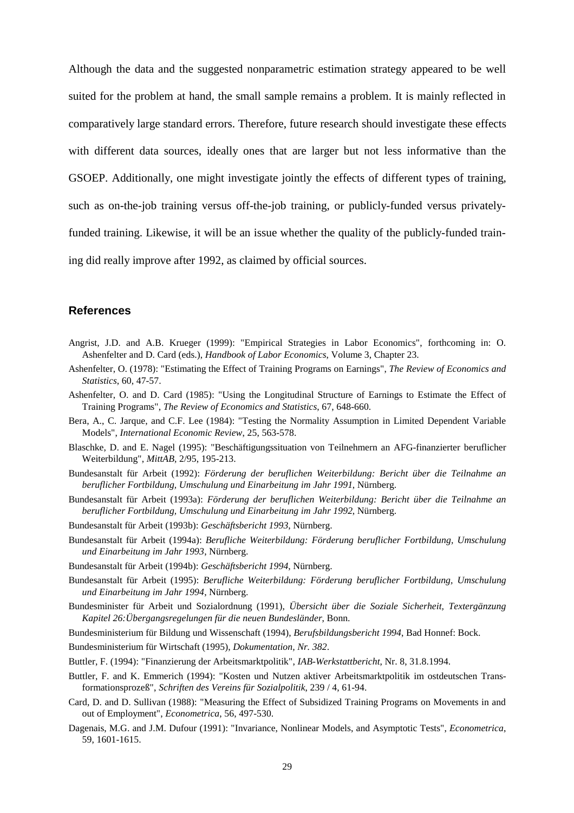Although the data and the suggested nonparametric estimation strategy appeared to be well suited for the problem at hand, the small sample remains a problem. It is mainly reflected in comparatively large standard errors. Therefore, future research should investigate these effects with different data sources, ideally ones that are larger but not less informative than the GSOEP. Additionally, one might investigate jointly the effects of different types of training, such as on-the-job training versus off-the-job training, or publicly-funded versus privatelyfunded training. Likewise, it will be an issue whether the quality of the publicly-funded training did really improve after 1992, as claimed by official sources.

#### **References**

- Angrist, J.D. and A.B. Krueger (1999): "Empirical Strategies in Labor Economics", forthcoming in: O. Ashenfelter and D. Card (eds.), *Handbook of Labor Economics*, Volume 3, Chapter 23.
- Ashenfelter, O. (1978): "Estimating the Effect of Training Programs on Earnings", *The Review of Economics and Statistics*, 60, 47-57.
- Ashenfelter, O. and D. Card (1985): "Using the Longitudinal Structure of Earnings to Estimate the Effect of Training Programs", *The Review of Economics and Statistics*, 67, 648-660.
- Bera, A., C. Jarque, and C.F. Lee (1984): "Testing the Normality Assumption in Limited Dependent Variable Models", *International Economic Review*, 25, 563-578.
- Blaschke, D. and E. Nagel (1995): "Beschäftigungssituation von Teilnehmern an AFG-finanzierter beruflicher Weiterbildung", *MittAB,* 2/95, 195-213.
- Bundesanstalt für Arbeit (1992): *Förderung der beruflichen Weiterbildung: Bericht über die Teilnahme an beruflicher Fortbildung, Umschulung und Einarbeitung im Jahr 1991*, Nürnberg.
- Bundesanstalt für Arbeit (1993a): *Förderung der beruflichen Weiterbildung: Bericht über die Teilnahme an beruflicher Fortbildung, Umschulung und Einarbeitung im Jahr 1992*, Nürnberg.
- Bundesanstalt für Arbeit (1993b): *Geschäftsbericht 1993*, Nürnberg.
- Bundesanstalt für Arbeit (1994a): *Berufliche Weiterbildung: Förderung beruflicher Fortbildung, Umschulung und Einarbeitung im Jahr 1993*, Nürnberg.
- Bundesanstalt für Arbeit (1994b): *Geschäftsbericht 1994*, Nürnberg.
- Bundesanstalt für Arbeit (1995): *Berufliche Weiterbildung: Förderung beruflicher Fortbildung, Umschulung und Einarbeitung im Jahr 1994*, Nürnberg.
- Bundesminister für Arbeit und Sozialordnung (1991), *Übersicht über die Soziale Sicherheit, Textergänzung Kapitel 26:Übergangsregelungen für die neuen Bundesländer*, Bonn.
- Bundesministerium für Bildung und Wissenschaft (1994), *Berufsbildungsbericht 1994*, Bad Honnef: Bock.
- Bundesministerium für Wirtschaft (1995), *Dokumentation, Nr. 382*.
- Buttler, F. (1994): "Finanzierung der Arbeitsmarktpolitik", *IAB-Werkstattbericht*, Nr. 8, 31.8.1994.
- Buttler, F. and K. Emmerich (1994): "Kosten und Nutzen aktiver Arbeitsmarktpolitik im ostdeutschen Transformationsprozeß", *Schriften des Vereins für Sozialpolitik*, 239 / 4, 61-94.
- Card, D. and D. Sullivan (1988): "Measuring the Effect of Subsidized Training Programs on Movements in and out of Employment", *Econometrica*, 56, 497-530.
- Dagenais, M.G. and J.M. Dufour (1991): "Invariance, Nonlinear Models, and Asymptotic Tests", *Econometrica*, 59, 1601-1615.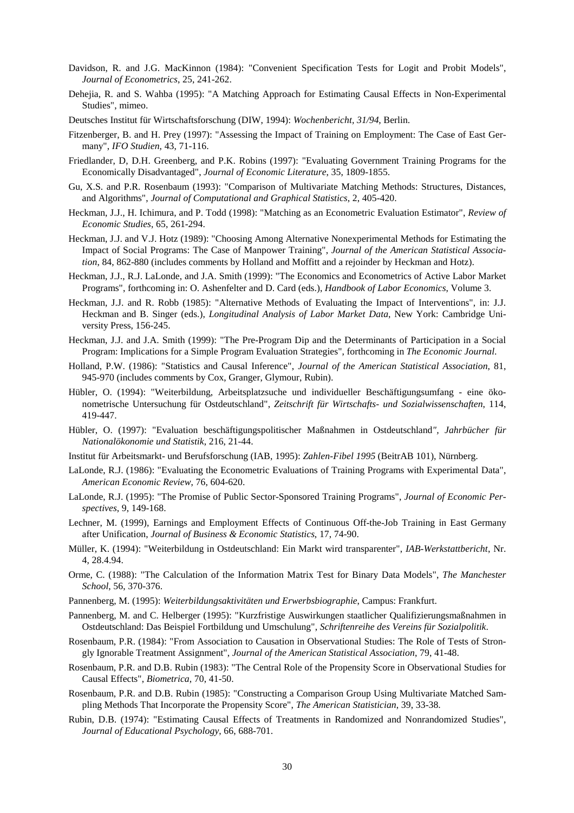- Davidson, R. and J.G. MacKinnon (1984): "Convenient Specification Tests for Logit and Probit Models", *Journal of Econometrics*, 25, 241-262.
- Dehejia, R. and S. Wahba (1995): "A Matching Approach for Estimating Causal Effects in Non-Experimental Studies", mimeo.
- Deutsches Institut für Wirtschaftsforschung (DIW, 1994): *Wochenbericht, 31/94*, Berlin.
- Fitzenberger, B. and H. Prey (1997): "Assessing the Impact of Training on Employment: The Case of East Germany", *IFO Studien*, 43, 71-116.
- Friedlander, D, D.H. Greenberg, and P.K. Robins (1997): "Evaluating Government Training Programs for the Economically Disadvantaged", *Journal of Economic Literature*, 35, 1809-1855.
- Gu, X.S. and P.R. Rosenbaum (1993): "Comparison of Multivariate Matching Methods: Structures, Distances, and Algorithms", *Journal of Computational and Graphical Statistics*, 2, 405-420.
- Heckman, J.J., H. Ichimura, and P. Todd (1998): "Matching as an Econometric Evaluation Estimator", *Review of Economic Studies*, 65, 261-294.
- Heckman, J.J. and V.J. Hotz (1989): "Choosing Among Alternative Nonexperimental Methods for Estimating the Impact of Social Programs: The Case of Manpower Training", *Journal of the American Statistical Association*, 84, 862-880 (includes comments by Holland and Moffitt and a rejoinder by Heckman and Hotz).
- Heckman, J.J., R.J. LaLonde, and J.A. Smith (1999): "The Economics and Econometrics of Active Labor Market Programs", forthcoming in: O. Ashenfelter and D. Card (eds.), *Handbook of Labor Economics*, Volume 3.
- Heckman, J.J. and R. Robb (1985): "Alternative Methods of Evaluating the Impact of Interventions", in: J.J. Heckman and B. Singer (eds.), *Longitudinal Analysis of Labor Market Data*, New York: Cambridge University Press, 156-245.
- Heckman, J.J. and J.A. Smith (1999): "The Pre-Program Dip and the Determinants of Participation in a Social Program: Implications for a Simple Program Evaluation Strategies", forthcoming in *The Economic Journal*.
- Holland, P.W. (1986): "Statistics and Causal Inference", *Journal of the American Statistical Association*, 81, 945-970 (includes comments by Cox, Granger, Glymour, Rubin).
- Hübler, O. (1994): "Weiterbildung, Arbeitsplatzsuche und individueller Beschäftigungsumfang eine ökonometrische Untersuchung für Ostdeutschland", *Zeitschrift für Wirtschafts- und Sozialwissenschaften*, 114, 419-447.
- Hübler, O. (1997): "Evaluation beschäftigungspolitischer Maßnahmen in Ostdeutschland*", Jahrbücher für Nationalökonomie und Statistik*, 216, 21-44.
- Institut für Arbeitsmarkt- und Berufsforschung (IAB, 1995): *Zahlen-Fibel 1995* (BeitrAB 101), Nürnberg.
- LaLonde, R.J. (1986): "Evaluating the Econometric Evaluations of Training Programs with Experimental Data", *American Economic Review*, 76, 604-620.
- LaLonde, R.J. (1995): "The Promise of Public Sector-Sponsored Training Programs", *Journal of Economic Perspectives*, 9, 149-168.
- Lechner, M. (1999), Earnings and Employment Effects of Continuous Off-the-Job Training in East Germany after Unification, *Journal of Business & Economic Statistics*, 17, 74-90.
- Müller, K. (1994): "Weiterbildung in Ostdeutschland: Ein Markt wird transparenter", *IAB-Werkstattbericht*, Nr. 4, 28.4.94.
- Orme, C. (1988): "The Calculation of the Information Matrix Test for Binary Data Models", *The Manchester School*, 56, 370-376.
- Pannenberg, M. (1995): *Weiterbildungsaktivitäten und Erwerbsbiographie*, Campus: Frankfurt.
- Pannenberg, M. and C. Helberger (1995): "Kurzfristige Auswirkungen staatlicher Qualifizierungsmaßnahmen in Ostdeutschland: Das Beispiel Fortbildung und Umschulung", *Schriftenreihe des Vereins für Sozialpolitik*.
- Rosenbaum, P.R. (1984): "From Association to Causation in Observational Studies: The Role of Tests of Strongly Ignorable Treatment Assignment", *Journal of the American Statistical Association*, 79, 41-48.
- Rosenbaum, P.R. and D.B. Rubin (1983): "The Central Role of the Propensity Score in Observational Studies for Causal Effects", *Biometrica*, 70, 41-50.
- Rosenbaum, P.R. and D.B. Rubin (1985): "Constructing a Comparison Group Using Multivariate Matched Sampling Methods That Incorporate the Propensity Score", *The American Statistician*, 39, 33-38.
- Rubin, D.B. (1974): "Estimating Causal Effects of Treatments in Randomized and Nonrandomized Studies", *Journal of Educational Psychology*, 66, 688-701.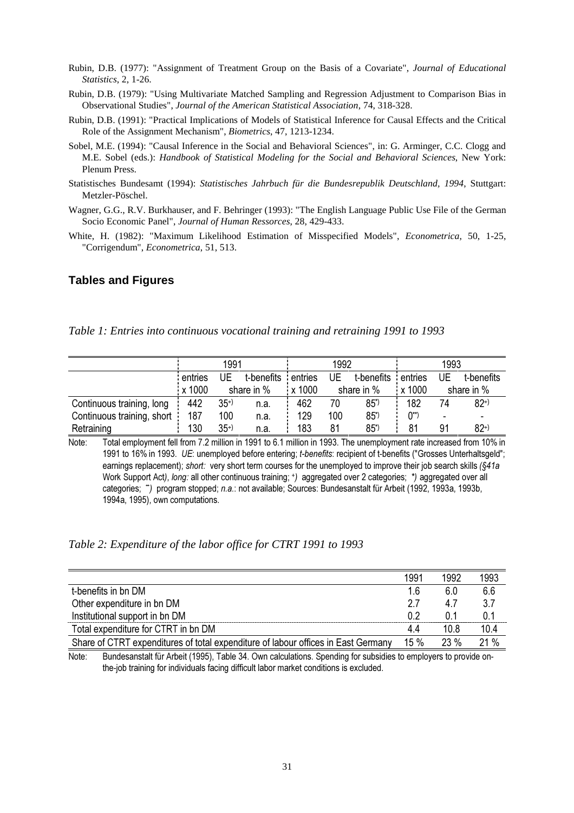- Rubin, D.B. (1977): "Assignment of Treatment Group on the Basis of a Covariate", *Journal of Educational Statistics*, 2, 1-26.
- Rubin, D.B. (1979): "Using Multivariate Matched Sampling and Regression Adjustment to Comparison Bias in Observational Studies", *Journal of the American Statistical Association*, 74, 318-328.
- Rubin, D.B. (1991): "Practical Implications of Models of Statistical Inference for Causal Effects and the Critical Role of the Assignment Mechanism", *Biometrics*, 47, 1213-1234.
- Sobel, M.E. (1994): "Causal Inference in the Social and Behavioral Sciences", in: G. Arminger, C.C. Clogg and M.E. Sobel (eds.): *Handbook of Statistical Modeling for the Social and Behavioral Sciences*, New York: Plenum Press.
- Statistisches Bundesamt (1994): *Statistisches Jahrbuch für die Bundesrepublik Deutschland, 1994*, Stuttgart: Metzler-Pöschel.
- Wagner, G.G., R.V. Burkhauser, and F. Behringer (1993): "The English Language Public Use File of the German Socio Economic Panel", *Journal of Human Ressorces*, 28, 429-433.
- White, H. (1982): "Maximum Likelihood Estimation of Misspecified Models", *Econometrica*, 50, 1-25, "Corrigendum", *Econometrica*, 51, 513.

#### **Tables and Figures**

*Table 1: Entries into continuous vocational training and retraining 1991 to 1993*

|                            |         | 1991  |            |                      | 1992 |                 |          | 1993 |            |
|----------------------------|---------|-------|------------|----------------------|------|-----------------|----------|------|------------|
|                            | entries | UΕ    | t-benefits | entries              | UE   | t-benefits      | entries  | UE   | t-benefits |
|                            | x 1000  |       | share in % | $\frac{1}{2}$ x 1000 |      | share in %      | x 1000   |      | share in % |
| Continuous training, long  | 442     | $35+$ | n.a.       | 462                  | 70   | $85^{\circ}$    | 182      | 74   | $82+$      |
| Continuous training, short | 187     | 100   | n.a.       | 129                  | 100  | $85*$           | $0^{**}$ | ٠    |            |
| Retraining                 | 130     | $35+$ | n.a.       | 183                  | 81   | 85 <sup>°</sup> | 81       | 91   | $82^{+}$   |

Note: Total employment fell from 7.2 million in 1991 to 6.1 million in 1993. The unemployment rate increased from 10% in 1991 to 16% in 1993. UE: unemployed before entering; t-benefits: recipient of t-benefits ("Grosses Unterhaltsgeld"; earnings replacement); short: very short term courses for the unemployed to improve their job search skills ( $§41a$ Work Support Act), long: all other continuous training; \*) aggregated over 2 categories; \*) aggregated over all categories; ") program stopped; n.a.: not available; Sources: Bundesanstalt für Arbeit (1992, 1993a, 1993b, 1994a, 1995), own computations.

*Table 2: Expenditure of the labor office for CTRT 1991 to 1993*

|                                                                                   | 1991    | 1992   | 1993 |
|-----------------------------------------------------------------------------------|---------|--------|------|
| t-benefits in bn DM                                                               | 1.6     | 6.0    | 6.6  |
| Other expenditure in bn DM                                                        | 27      | 4.7    | 3.7  |
| Institutional support in bn DM                                                    | በ 2     | () 1   | 0.1  |
| Total expenditure for CTRT in bn DM                                               | 44      | 10.8   | 10.4 |
| Share of CTRT expenditures of total expenditure of labour offices in East Germany | $15 \%$ | $23\%$ | 21%  |

Note: Bundesanstalt für Arbeit (1995), Table 34. Own calculations. Spending for subsidies to employers to provide onthe-job training for individuals facing difficult labor market conditions is excluded.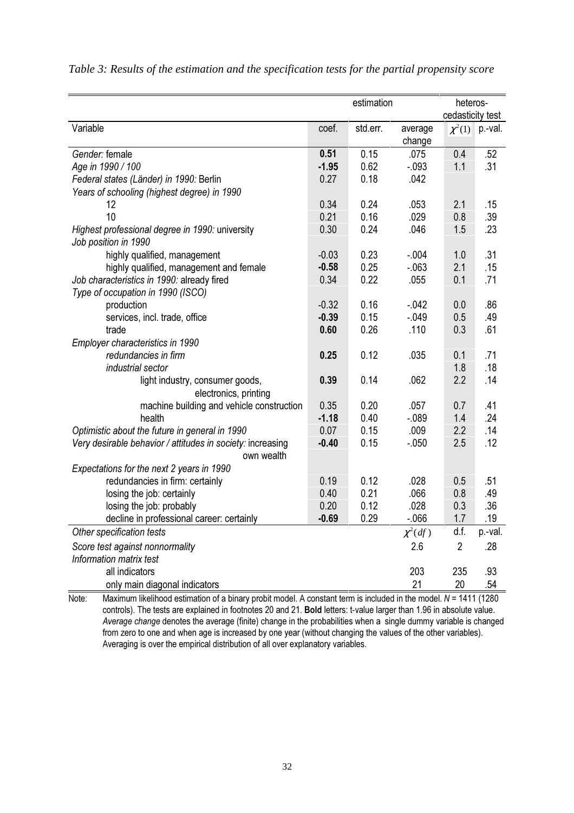|                                                            |         | estimation |              | heteros-         |         |
|------------------------------------------------------------|---------|------------|--------------|------------------|---------|
|                                                            |         |            |              | cedasticity test |         |
| Variable                                                   | coef.   | std.err.   | average      | $\chi^2(1)$      | p.-val. |
|                                                            |         |            | change       |                  |         |
| Gender: female                                             | 0.51    | 0.15       | .075         | 0.4              | .52     |
| Age in 1990 / 100                                          | $-1.95$ | 0.62       | $-.093$      | 1.1              | .31     |
| Federal states (Länder) in 1990: Berlin                    | 0.27    | 0.18       | .042         |                  |         |
| Years of schooling (highest degree) in 1990                |         |            |              |                  |         |
| 12                                                         | 0.34    | 0.24       | .053         | 2.1              | .15     |
| 10                                                         | 0.21    | 0.16       | .029         | 0.8              | .39     |
| Highest professional degree in 1990: university            | 0.30    | 0.24       | .046         | 1.5              | .23     |
| Job position in 1990                                       |         |            |              |                  |         |
| highly qualified, management                               | $-0.03$ | 0.23       | $-.004$      | 1.0              | .31     |
| highly qualified, management and female                    | $-0.58$ | 0.25       | $-063$       | 2.1              | .15     |
| Job characteristics in 1990: already fired                 | 0.34    | 0.22       | .055         | 0.1              | .71     |
| Type of occupation in 1990 (ISCO)                          |         |            |              |                  |         |
| production                                                 | $-0.32$ | 0.16       | $-.042$      | 0.0              | .86     |
| services, incl. trade, office                              | $-0.39$ | 0.15       | $-.049$      | 0.5              | .49     |
| trade                                                      | 0.60    | 0.26       | .110         | 0.3              | .61     |
| Employer characteristics in 1990                           |         |            |              |                  |         |
| redundancies in firm                                       | 0.25    | 0.12       | .035         | 0.1              | .71     |
| industrial sector                                          |         |            |              | 1.8              | .18     |
| light industry, consumer goods,                            | 0.39    | 0.14       | .062         | 2.2              | .14     |
| electronics, printing                                      |         |            |              |                  |         |
| machine building and vehicle construction                  | 0.35    | 0.20       | .057         | 0.7              | .41     |
| health                                                     | $-1.18$ | 0.40       | $-089$       | 1.4              | .24     |
| Optimistic about the future in general in 1990             | 0.07    | 0.15       | .009         | 2.2              | .14     |
| Very desirable behavior / attitudes in society: increasing | $-0.40$ | 0.15       | $-.050$      | 2.5              | .12     |
| own wealth                                                 |         |            |              |                  |         |
| Expectations for the next 2 years in 1990                  |         |            |              |                  |         |
| redundancies in firm: certainly                            | 0.19    | 0.12       | .028         | 0.5              | .51     |
| losing the job: certainly                                  | 0.40    | 0.21       | .066         | 0.8              | .49     |
| losing the job: probably                                   | 0.20    | 0.12       | .028         | 0.3              | .36     |
| decline in professional career: certainly                  | $-0.69$ | 0.29       | $-066$       | 1.7              | .19     |
| Other specification tests                                  |         |            | $\chi^2(df)$ | d.f.             | p.-val. |
| Score test against nonnormality                            |         |            | 2.6          | $\overline{2}$   | .28     |
| Information matrix test                                    |         |            |              |                  |         |
| all indicators                                             |         |            | 203          | 235              | .93     |
| only main diagonal indicators                              |         |            | 21           | 20               | .54     |

*Table 3: Results of the estimation and the specification tests for the partial propensity score*

Note: Maximum likelihood estimation of a binary probit model. A constant term is included in the model.  $N = 1411$  (1280 controls). The tests are explained in footnotes 20 and 21. Bold letters: t-value larger than 1.96 in absolute value. Average change denotes the average (finite) change in the probabilities when a single dummy variable is changed from zero to one and when age is increased by one year (without changing the values of the other variables). Averaging is over the empirical distribution of all over explanatory variables.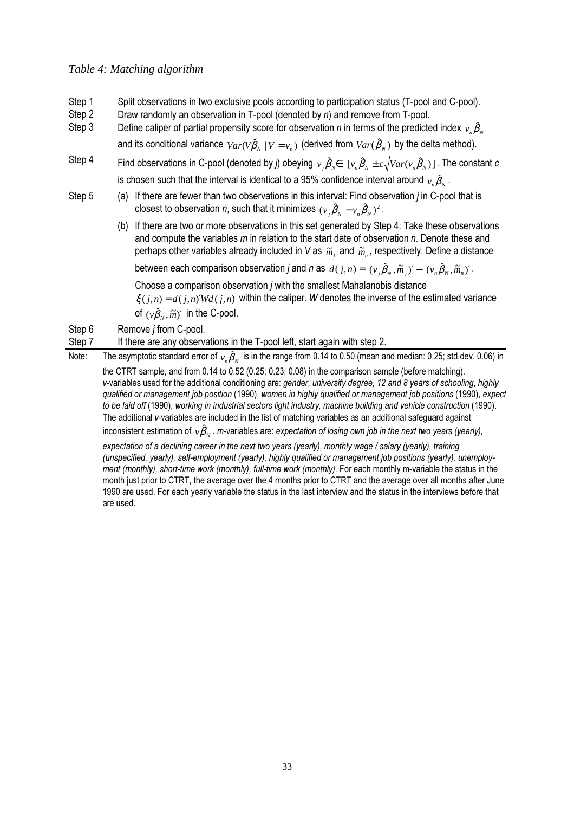#### *Table 4: Matching algorithm*

- Step 1 Split observations in two exclusive pools according to participation status (T-pool and C-pool).
- Step 2 Draw randomly an observation in T-pool (denoted by  $n$ ) and remove from T-pool.
- Step 3 Define caliper of partial propensity score for observation  $n$  in terms of the predicted index  ${}_{\nu_n}\hat\beta_{_N}$ 
	- and its conditional variance  $Var(V\hat{\beta}_N | V = v_n)$  (derived from  $Var(\hat{\beta}_N)$  by the delta method).
- $\Theta$  . The constant in C-pool (denoted by  $j$ ) obeying  $v_j\hat\beta_N\in~[v_n\hat\beta_N\pm c\sqrt{Var(v_n\hat\beta_N)}]$  . The constant  $c$ is chosen such that the interval is identical to a 95% confidence interval around  $\,_{\nu_n}\hat{\beta}_{\hskip-0.5pt{\nu}}^{}$  .
- Step  $5$  (a) If there are fewer than two observations in this interval: Find observation *i* in C-pool that is closest to observation  $n$ , such that it minimizes  $(\nu_{j}\hat{\boldsymbol{\beta}}_{\scriptscriptstyle N}-\nu_{\scriptscriptstyle n}\hat{\boldsymbol{\beta}}_{\scriptscriptstyle N})^{2}$  .
	- (b) If there are two or more observations in this set generated by Step 4: Take these observations and compute the variables  $m$  in relation to the start date of observation  $n$ . Denote these and perhaps other variables already included in V as  $\,\widetilde m_{_j}\,$  and  $\,\widetilde m_{_n}\,$ , respectively. Define a distance

between each comparison observation *j* and *n* as  $d(j, n) = (v_i \hat{\beta}_v, \tilde{m}_i)' - (v_n \hat{\beta}_v, \tilde{m}_n)'$ .

Choose a comparison observation *i* with the smallest Mahalanobis distance

 $\xi(i,n) = d(i,n)'Wd(j,n)$  within the caliper. W denotes the inverse of the estimated variance of  $(v\hat{\beta}_v, \tilde{m})'$  in the C-pool.

Step 6 Remove *j* from C-pool.

Step 7 If there are any observations in the T-pool left, start again with step 2.

Note:  $\;\;\;\;\;$  The asymptotic standard error of  $\;\nu_n\hat{B}_N\;$  is in the range from 0.14 to 0.50 (mean and median: 0.25; std.dev. 0.06) in the CTRT sample, and from 0.14 to 0.52 (0.25; 0.23; 0.08) in the comparison sample (before matching).

v-variables used for the additional conditioning are: gender, university degree, 12 and 8 years of schooling, highly qualified or management job position (1990), women in highly qualified or management job positions (1990), expect to be laid off (1990), working in industrial sectors light industry, machine building and vehicle construction (1990). The additional v-variables are included in the list of matching variables as an additional safeguard against inconsistent estimation of  $\, \nu \hat{B}_{{\scriptscriptstyle N}}$  . *m*-variables are: expectation of losing own job in the next two years (yearly),

expectation of a declining career in the next two years (yearly), monthly wage / salary (yearly), training (unspecified, yearly), self-employment (yearly), highly qualified or management job positions (yearly), unemployment (monthly), short-time work (monthly), full-time work (monthly). For each monthly m-variable the status in the month just prior to CTRT, the average over the 4 months prior to CTRT and the average over all months after June 1990 are used. For each yearly variable the status in the last interview and the status in the interviews before that are used.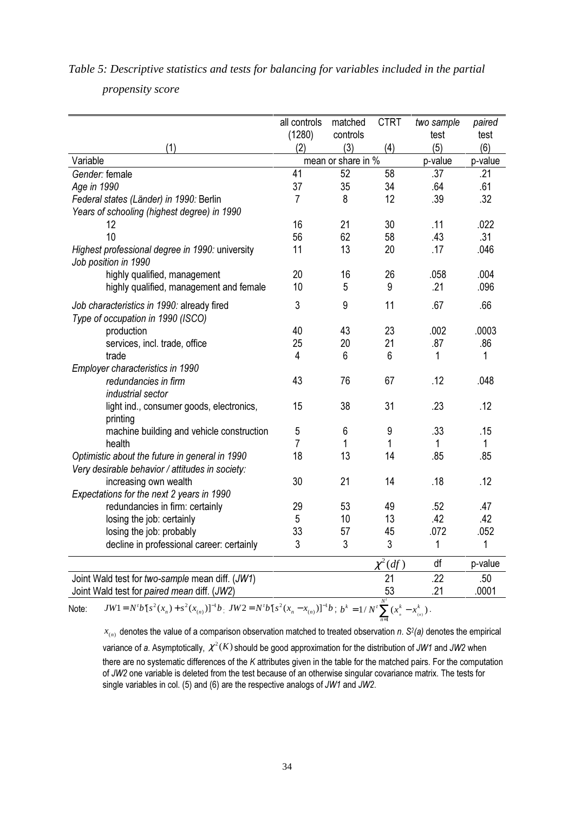|                                                                                                                                                                                                                                                                              | all controls<br>(1280) | matched<br>controls | <b>CTRT</b>  | two sample<br>test | paired<br>test |
|------------------------------------------------------------------------------------------------------------------------------------------------------------------------------------------------------------------------------------------------------------------------------|------------------------|---------------------|--------------|--------------------|----------------|
| (1)                                                                                                                                                                                                                                                                          | (2)                    | (3)                 | (4)          | (5)                | (6)            |
| Variable                                                                                                                                                                                                                                                                     |                        | mean or share in %  |              | p-value            | p-value        |
| Gender: female                                                                                                                                                                                                                                                               | 41                     | 52                  | 58           | .37                | .21            |
| Age in 1990                                                                                                                                                                                                                                                                  | 37                     | 35                  | 34           | .64                | .61            |
| Federal states (Länder) in 1990: Berlin                                                                                                                                                                                                                                      | $\overline{7}$         | 8                   | 12           | .39                | .32            |
| Years of schooling (highest degree) in 1990                                                                                                                                                                                                                                  |                        |                     |              |                    |                |
| 12                                                                                                                                                                                                                                                                           | 16                     | 21                  | 30           | .11                | .022           |
| 10                                                                                                                                                                                                                                                                           | 56                     | 62                  | 58           | .43                | .31            |
| Highest professional degree in 1990: university<br>Job position in 1990                                                                                                                                                                                                      | 11                     | 13                  | 20           | .17                | .046           |
| highly qualified, management                                                                                                                                                                                                                                                 | 20                     | 16                  | 26           | .058               | .004           |
| highly qualified, management and female                                                                                                                                                                                                                                      | 10                     | 5                   | 9            | .21                | .096           |
| Job characteristics in 1990: already fired<br>Type of occupation in 1990 (ISCO)                                                                                                                                                                                              | 3                      | 9                   | 11           | .67                | .66            |
| production                                                                                                                                                                                                                                                                   | 40                     | 43                  | 23           | .002               | .0003          |
| services, incl. trade, office                                                                                                                                                                                                                                                | 25                     | 20                  | 21           | .87                | .86            |
| trade                                                                                                                                                                                                                                                                        | 4                      | 6                   | 6            | 1                  | 1              |
| Employer characteristics in 1990                                                                                                                                                                                                                                             |                        |                     |              |                    |                |
| redundancies in firm<br>industrial sector                                                                                                                                                                                                                                    | 43                     | 76                  | 67           | .12                | .048           |
| light ind., consumer goods, electronics,<br>printing                                                                                                                                                                                                                         | 15                     | 38                  | 31           | .23                | .12            |
| machine building and vehicle construction                                                                                                                                                                                                                                    | 5                      | 6                   | 9            | .33                | .15            |
| health                                                                                                                                                                                                                                                                       | $\overline{7}$         | 1                   | 1            | 1                  | 1              |
| Optimistic about the future in general in 1990<br>Very desirable behavior / attitudes in society:                                                                                                                                                                            | 18                     | 13                  | 14           | .85                | .85            |
| increasing own wealth                                                                                                                                                                                                                                                        | 30                     | 21                  | 14           | .18                | .12            |
| Expectations for the next 2 years in 1990                                                                                                                                                                                                                                    |                        |                     |              |                    |                |
| redundancies in firm: certainly                                                                                                                                                                                                                                              | 29                     | 53                  | 49           | .52                | .47            |
| losing the job: certainly                                                                                                                                                                                                                                                    | 5                      | 10                  | 13           | .42                | .42            |
| losing the job: probably                                                                                                                                                                                                                                                     | 33                     | 57                  | 45           | .072               | .052           |
| decline in professional career: certainly                                                                                                                                                                                                                                    | 3                      | 3                   | $\sqrt{3}$   | 1                  | 1              |
|                                                                                                                                                                                                                                                                              |                        |                     | $\chi^2(df)$ | df                 | p-value        |
| Joint Wald test for two-sample mean diff. (JW1)                                                                                                                                                                                                                              |                        |                     | 21           | .22                | .50            |
| Joint Wald test for paired mean diff. (JW2)                                                                                                                                                                                                                                  |                        |                     | 53           | .21                | .0001          |
| JW1=N'b'[s <sup>2</sup> (x <sub>n</sub> )+s <sup>2</sup> (x <sub>n)</sub> )] <sup>-1</sup> b; JW2=N'b'[s <sup>2</sup> (x <sub>n</sub> -x <sub>n)</sub> )] <sup>-1</sup> b; b <sup>k</sup> = 1/N' $\sum_{n=0}^{N'}$ (x <sub>n</sub> <sup>k</sup> -x <sub>n)</sub> ).<br>Note: |                        |                     |              |                    |                |

*Table 5: Descriptive statistics and tests for balancing for variables included in the partial*

*propensity score*

 $x_{(n)}$  denotes the value of a comparison observation matched to treated observation n.  $S^2(a)$  denotes the empirical variance of a. Asymptotically,  $\chi^2(K)$  should be good approximation for the distribution of JW1 and JW2 when there are no systematic differences of the  $K$  attributes given in the table for the matched pairs. For the computation of JW2 one variable is deleted from the test because of an otherwise singular covariance matrix. The tests for single variables in col. (5) and (6) are the respective analogs of JW1 and JW2.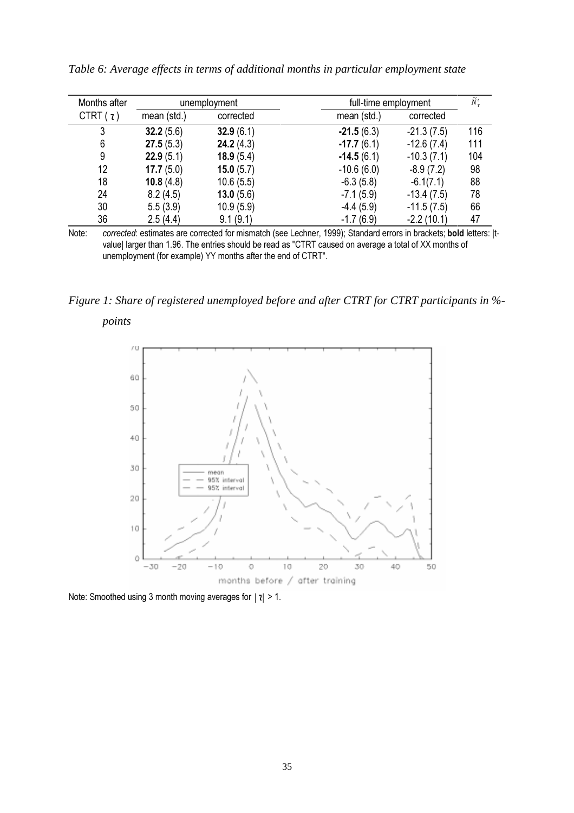| Months after | unemployment  |              | full-time employment         | $\widetilde{N}_{\tau}^t$ |
|--------------|---------------|--------------|------------------------------|--------------------------|
| CTRT $(i)$   | mean $(std.)$ | corrected    | mean $(std.)$<br>corrected   |                          |
| 3            | 32.2(5.6)     | 32.9(6.1)    | $-21.5(6.3)$<br>$-21.3(7.5)$ | 116                      |
| 6            | 27.5(5.3)     | 24.2(4.3)    | $-12.6(7.4)$<br>$-17.7(6.1)$ | 111                      |
| 9            | 22.9(5.1)     | 18.9(5.4)    | $-14.5(6.1)$<br>$-10.3(7.1)$ | 104                      |
| 12           | 17.7(5.0)     | 15.0(5.7)    | $-10.6(6.0)$<br>$-8.9(7.2)$  | 98                       |
| 18           | 10.8 $(4.8)$  | 10.6(5.5)    | $-6.3(5.8)$<br>$-6.1(7.1)$   | 88                       |
| 24           | 8.2(4.5)      | 13.0 $(5.6)$ | $-7.1(5.9)$<br>$-13.4(7.5)$  | 78                       |
| 30           | 5.5(3.9)      | 10.9(5.9)    | $-4.4(5.9)$<br>$-11.5(7.5)$  | 66                       |
| 36           | 2.5(4.4)      | 9.1(9.1)     | $-2.2(10.1)$<br>$-1.7(6.9)$  | 47                       |

*Table 6: Average effects in terms of additional months in particular employment state*

Note: corrected: estimates are corrected for mismatch (see Lechner, 1999); Standard errors in brackets; bold letters: |tvalue| larger than 1.96. The entries should be read as "CTRT caused on average a total of XX months of unemployment (for example) YY months after the end of CTRT".

*Figure 1: Share of registered unemployed before and after CTRT for CTRT participants in %-*

*points*



Note: Smoothed using 3 month moving averages for  $|z| > 1$ .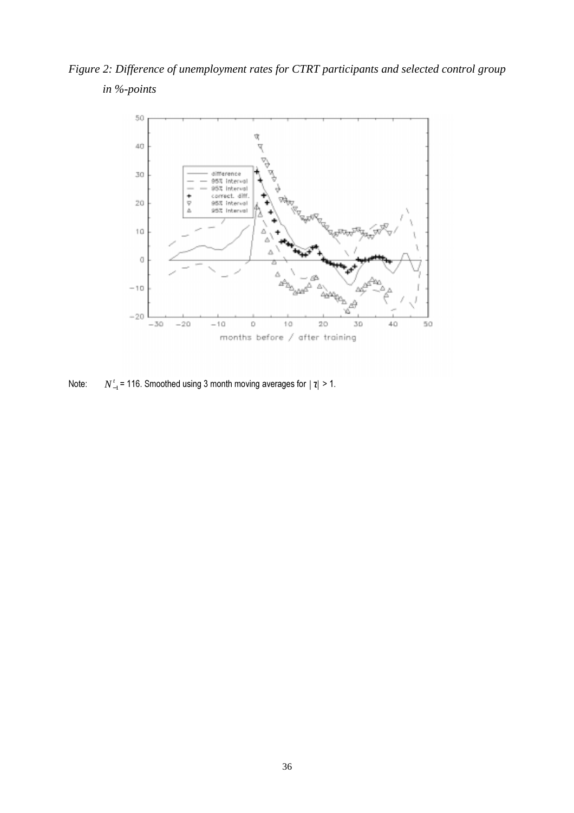*Figure 2: Difference of unemployment rates for CTRT participants and selected control group in %-points*



Note:  $N_{-1}^t$  = 116. Smoothed using 3 month moving averages for  $|\tau| > 1$ .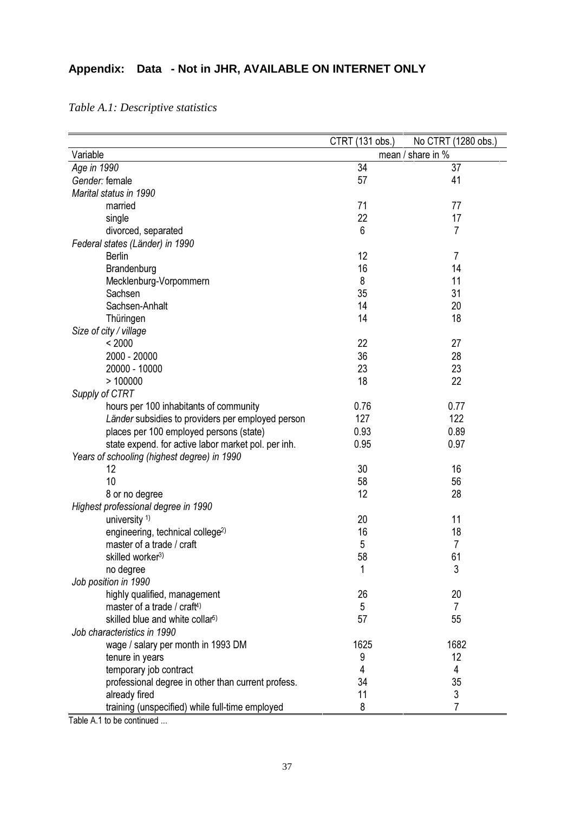## **Appendix: Data - Not in JHR, AVAILABLE ON INTERNET ONLY**

|                                                                           | CTRT (131 obs.) | No CTRT (1280 obs.) |
|---------------------------------------------------------------------------|-----------------|---------------------|
| Variable                                                                  |                 | mean / share in %   |
| Age in 1990                                                               | 34              | 37                  |
| Gender: female                                                            | 57              | 41                  |
| Marital status in 1990                                                    |                 |                     |
| married                                                                   | 71              | 77                  |
| single                                                                    | 22              | 17                  |
| divorced, separated                                                       | 6               | 7                   |
| Federal states (Länder) in 1990                                           |                 |                     |
| <b>Berlin</b>                                                             | 12              | 7                   |
| Brandenburg                                                               | 16              | 14                  |
| Mecklenburg-Vorpommern                                                    | 8               | 11                  |
| Sachsen                                                                   | 35              | 31                  |
| Sachsen-Anhalt                                                            | 14              | 20                  |
| Thüringen                                                                 | 14              | 18                  |
| Size of city / village                                                    |                 |                     |
| < 2000                                                                    | 22              | 27                  |
| 2000 - 20000                                                              | 36              | 28                  |
| 20000 - 10000                                                             | 23              | 23                  |
| >100000                                                                   | 18              | 22                  |
| Supply of CTRT                                                            |                 |                     |
| hours per 100 inhabitants of community                                    | 0.76            | 0.77                |
| Länder subsidies to providers per employed person                         | 127             | 122                 |
| places per 100 employed persons (state)                                   | 0.93            | 0.89                |
| state expend. for active labor market pol. per inh.                       | 0.95            | 0.97                |
| Years of schooling (highest degree) in 1990                               |                 |                     |
| 12                                                                        | 30              | 16                  |
| 10                                                                        | 58              | 56                  |
|                                                                           | 12              | 28                  |
| 8 or no degree                                                            |                 |                     |
| Highest professional degree in 1990                                       | 20              | 11                  |
| university <sup>1)</sup>                                                  |                 |                     |
| engineering, technical college <sup>2)</sup><br>master of a trade / craft | 16              | 18<br>7             |
|                                                                           | 5               |                     |
| skilled worker <sup>3)</sup>                                              | 58              | 61                  |
| no degree                                                                 | 1               | s                   |
| Job position in 1990                                                      |                 |                     |
| highly qualified, management                                              | 26              | 20                  |
| master of a trade / craft <sup>4)</sup>                                   | 5               | 7                   |
| skilled blue and white collar <sup>5)</sup>                               | 57              | 55                  |
| Job characteristics in 1990                                               |                 |                     |
| wage / salary per month in 1993 DM                                        | 1625            | 1682                |
| tenure in years                                                           | 9               | 12                  |
| temporary job contract                                                    | 4               | 4                   |
| professional degree in other than current profess.                        | 34              | 35                  |
| already fired                                                             | 11              | 3                   |
| training (unspecified) while full-time employed                           | 8               | 7                   |

*Table A.1: Descriptive statistics*

Table A.1 to be continued ...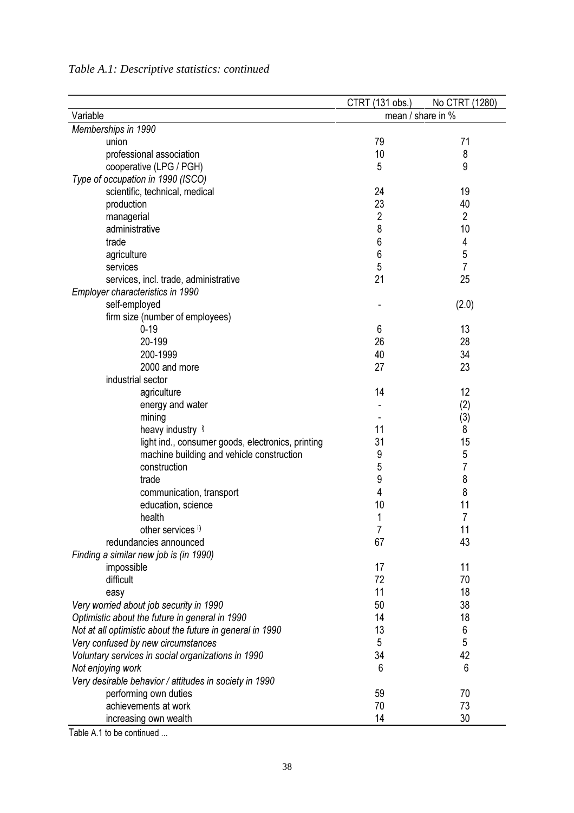| Table A.1: Descriptive statistics: continued |  |
|----------------------------------------------|--|
|                                              |  |

|                                                           | CTRT (131 obs.)   | No CTRT (1280) |
|-----------------------------------------------------------|-------------------|----------------|
| Variable                                                  | mean / share in % |                |
| Memberships in 1990                                       |                   |                |
| union                                                     | 79                | 71             |
| professional association                                  | 10                | 8              |
| cooperative (LPG / PGH)                                   | 5                 | 9              |
| Type of occupation in 1990 (ISCO)                         |                   |                |
| scientific, technical, medical                            | 24                | 19             |
| production                                                | 23                | 40             |
| managerial                                                | $\overline{2}$    | $\overline{2}$ |
| administrative                                            | 8                 | 10             |
| trade                                                     | 6                 | 4              |
| agriculture                                               | 6                 | $\sqrt{5}$     |
| services                                                  | 5                 | $\overline{7}$ |
| services, incl. trade, administrative                     | 21                | 25             |
| Employer characteristics in 1990                          |                   |                |
| self-employed                                             |                   | (2.0)          |
| firm size (number of employees)                           |                   |                |
| $0 - 19$                                                  | 6                 | 13             |
| 20-199                                                    | 26                | 28             |
| 200-1999                                                  | 40                | 34             |
| 2000 and more                                             | 27                | 23             |
| industrial sector                                         |                   |                |
| agriculture                                               | 14                | 12             |
| energy and water                                          |                   | (2)            |
| mining                                                    |                   | (3)            |
| heavy industry                                            | 11                | 8              |
| light ind., consumer goods, electronics, printing         | 31                | 15             |
| machine building and vehicle construction                 | 9                 | 5              |
| construction                                              | 5                 | 7              |
| trade                                                     | 9                 | 8              |
| communication, transport                                  | 4                 | 8              |
| education, science                                        | 10                | 11             |
| health                                                    | 1                 | 7              |
| other services ii)                                        |                   | 11             |
| redundancies announced                                    | 67                | 43             |
| Finding a similar new job is (in 1990)                    |                   |                |
| impossible                                                | 17                | 11             |
| difficult                                                 | 72                | 70             |
| easy                                                      | 11                | 18             |
| Very worried about job security in 1990                   | 50                | 38             |
| Optimistic about the future in general in 1990            | 14                | 18             |
| Not at all optimistic about the future in general in 1990 | 13                | 6              |
| Very confused by new circumstances                        | 5                 | 5              |
| Voluntary services in social organizations in 1990        | 34                | 42             |
| Not enjoying work                                         | 6                 | 6              |
|                                                           |                   |                |
| Very desirable behavior / attitudes in society in 1990    |                   |                |
| performing own duties<br>achievements at work             | 59<br>70          | 70<br>73       |
|                                                           |                   |                |
| increasing own wealth                                     | 14                | 30             |

Table A.1 to be continued ...